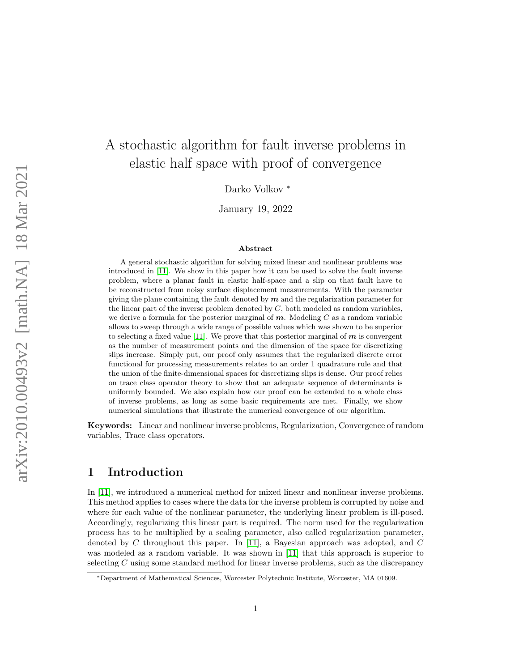# A stochastic algorithm for fault inverse problems in elastic half space with proof of convergence

Darko Volkov <sup>∗</sup>

January 19, 2022

#### Abstract

A general stochastic algorithm for solving mixed linear and nonlinear problems was introduced in [\[11\]](#page-23-0). We show in this paper how it can be used to solve the fault inverse problem, where a planar fault in elastic half-space and a slip on that fault have to be reconstructed from noisy surface displacement measurements. With the parameter giving the plane containing the fault denoted by  $m$  and the regularization parameter for the linear part of the inverse problem denoted by  $C$ , both modeled as random variables, we derive a formula for the posterior marginal of  $m$ . Modeling C as a random variable allows to sweep through a wide range of possible values which was shown to be superior to selecting a fixed value [\[11\]](#page-23-0). We prove that this posterior marginal of  $m$  is convergent as the number of measurement points and the dimension of the space for discretizing slips increase. Simply put, our proof only assumes that the regularized discrete error functional for processing measurements relates to an order 1 quadrature rule and that the union of the finite-dimensional spaces for discretizing slips is dense. Our proof relies on trace class operator theory to show that an adequate sequence of determinants is uniformly bounded. We also explain how our proof can be extended to a whole class of inverse problems, as long as some basic requirements are met. Finally, we show numerical simulations that illustrate the numerical convergence of our algorithm.

Keywords: Linear and nonlinear inverse problems, Regularization, Convergence of random variables, Trace class operators.

### 1 Introduction

In [\[11\]](#page-23-0), we introduced a numerical method for mixed linear and nonlinear inverse problems. This method applies to cases where the data for the inverse problem is corrupted by noise and where for each value of the nonlinear parameter, the underlying linear problem is ill-posed. Accordingly, regularizing this linear part is required. The norm used for the regularization process has to be multiplied by a scaling parameter, also called regularization parameter, denoted by C throughout this paper. In [\[11\]](#page-23-0), a Bayesian approach was adopted, and C was modeled as a random variable. It was shown in [\[11\]](#page-23-0) that this approach is superior to selecting C using some standard method for linear inverse problems, such as the discrepancy

<sup>∗</sup>Department of Mathematical Sciences, Worcester Polytechnic Institute, Worcester, MA 01609.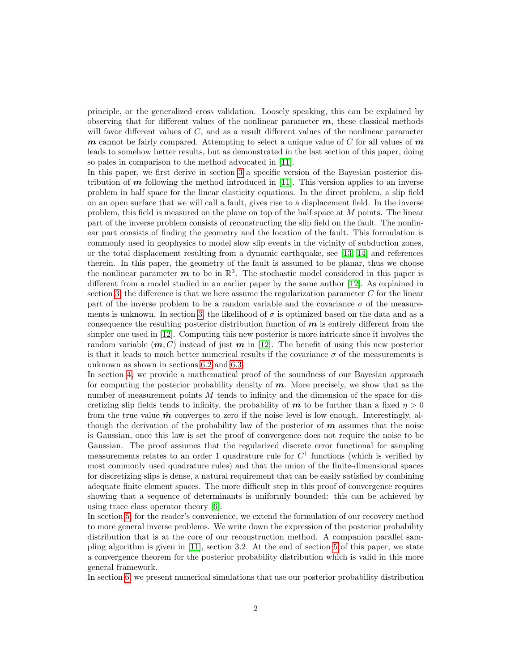principle, or the generalized cross validation. Loosely speaking, this can be explained by observing that for different values of the nonlinear parameter  $m$ , these classical methods will favor different values of C, and as a result different values of the nonlinear parameter  $m$  cannot be fairly compared. Attempting to select a unique value of C for all values of  $m$ leads to somehow better results, but as demonstrated in the last section of this paper, doing so pales in comparison to the method advocated in [\[11\]](#page-23-0).

In this paper, we first derive in section [3](#page-5-0) a specific version of the Bayesian posterior distribution of  $m$  following the method introduced in [\[11\]](#page-23-0). This version applies to an inverse problem in half space for the linear elasticity equations. In the direct problem, a slip field on an open surface that we will call a fault, gives rise to a displacement field. In the inverse problem, this field is measured on the plane on top of the half space at M points. The linear part of the inverse problem consists of reconstructing the slip field on the fault. The nonlinear part consists of finding the geometry and the location of the fault. This formulation is commonly used in geophysics to model slow slip events in the vicinity of subduction zones, or the total displacement resulting from a dynamic earthquake, see [\[13,](#page-23-1) [14\]](#page-23-2) and references therein. In this paper, the geometry of the fault is assumed to be planar, thus we choose the nonlinear parameter  $m$  to be in  $\mathbb{R}^3$ . The stochastic model considered in this paper is different from a model studied in an earlier paper by the same author [\[12\]](#page-23-3). As explained in section [3,](#page-5-0) the difference is that we here assume the regularization parameter  $C$  for the linear part of the inverse problem to be a random variable and the covariance  $\sigma$  of the measure-ments is unknown. In section [3,](#page-5-0) the likelihood of  $\sigma$  is optimized based on the data and as a consequence the resulting posterior distribution function of  $m$  is entirely different from the simpler one used in [\[12\]](#page-23-3). Computing this new posterior is more intricate since it involves the random variable  $(m, C)$  instead of just m in [\[12\]](#page-23-3). The benefit of using this new posterior is that it leads to much better numerical results if the covariance  $\sigma$  of the measurements is unknown as shown in sections [6.2](#page-18-0) and [6.3.](#page-21-0)

In section [4,](#page-8-0) we provide a mathematical proof of the soundness of our Bayesian approach for computing the posterior probability density of  $m$ . More precisely, we show that as the number of measurement points  $M$  tends to infinity and the dimension of the space for discretizing slip fields tends to infinity, the probability of **m** to be further than a fixed  $\eta > 0$ from the true value  $\tilde{m}$  converges to zero if the noise level is low enough. Interestingly, although the derivation of the probability law of the posterior of  $m$  assumes that the noise is Gaussian, once this law is set the proof of convergence does not require the noise to be Gaussian. The proof assumes that the regularized discrete error functional for sampling measurements relates to an order 1 quadrature rule for  $C<sup>1</sup>$  functions (which is verified by most commonly used quadrature rules) and that the union of the finite-dimensional spaces for discretizing slips is dense, a natural requirement that can be easily satisfied by combining adequate finite element spaces. The more difficult step in this proof of convergence requires showing that a sequence of determinants is uniformly bounded: this can be achieved by using trace class operator theory [\[6\]](#page-23-4).

In section [5,](#page-15-0) for the reader's convenience, we extend the formulation of our recovery method to more general inverse problems. We write down the expression of the posterior probability distribution that is at the core of our reconstruction method. A companion parallel sampling algorithm is given in [\[11\]](#page-23-0), section 3.2. At the end of section [5](#page-15-0) of this paper, we state a convergence theorem for the posterior probability distribution which is valid in this more general framework.

In section [6,](#page-17-0) we present numerical simulations that use our posterior probability distribution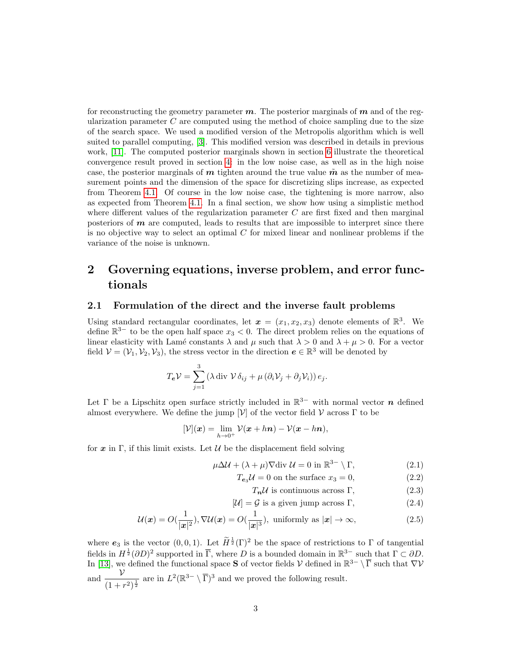for reconstructing the geometry parameter  $m$ . The posterior marginals of  $m$  and of the regularization parameter  $C$  are computed using the method of choice sampling due to the size of the search space. We used a modified version of the Metropolis algorithm which is well suited to parallel computing, [\[3\]](#page-23-5). This modified version was described in details in previous work, [\[11\]](#page-23-0). The computed posterior marginals shown in section [6](#page-17-0) illustrate the theoretical convergence result proved in section [4:](#page-8-0) in the low noise case, as well as in the high noise case, the posterior marginals of  $m$  tighten around the true value  $\tilde{m}$  as the number of measurement points and the dimension of the space for discretizing slips increase, as expected from Theorem [4.1.](#page-13-0) Of course in the low noise case, the tightening is more narrow, also as expected from Theorem [4.1.](#page-13-0) In a final section, we show how using a simplistic method where different values of the regularization parameter  $C$  are first fixed and then marginal posteriors of  $m$  are computed, leads to results that are impossible to interpret since there is no objective way to select an optimal  $C$  for mixed linear and nonlinear problems if the variance of the noise is unknown.

## 2 Governing equations, inverse problem, and error functionals

#### 2.1 Formulation of the direct and the inverse fault problems

Using standard rectangular coordinates, let  $\boldsymbol{x} = (x_1, x_2, x_3)$  denote elements of  $\mathbb{R}^3$ . We define  $\mathbb{R}^{3-}$  to be the open half space  $x_3 < 0$ . The direct problem relies on the equations of linear elasticity with Lamé constants  $\lambda$  and  $\mu$  such that  $\lambda > 0$  and  $\lambda + \mu > 0$ . For a vector field  $\mathcal{V} = (\mathcal{V}_1, \mathcal{V}_2, \mathcal{V}_3)$ , the stress vector in the direction  $\mathbf{e} \in \mathbb{R}^3$  will be denoted by

$$
T_{\boldsymbol{e}}\mathcal{V} = \sum_{j=1}^{3} \left( \lambda \operatorname{div} \mathcal{V} \,\delta_{ij} + \mu \left( \partial_i \mathcal{V}_j + \partial_j \mathcal{V}_i \right) \right) e_j.
$$

Let  $\Gamma$  be a Lipschitz open surface strictly included in  $\mathbb{R}^{3-}$  with normal vector  $n$  defined almost everywhere. We define the jump  $[\mathcal{V}]$  of the vector field  $\mathcal{V}$  across  $\Gamma$  to be

$$
[\mathcal{V}](\boldsymbol{x}) = \lim_{h \to 0^+} \mathcal{V}(\boldsymbol{x} + h\boldsymbol{n}) - \mathcal{V}(\boldsymbol{x} - h\boldsymbol{n}),
$$

for  $x$  in Γ, if this limit exists. Let  $\mathcal U$  be the displacement field solving

<span id="page-2-0"></span>
$$
\mu \Delta \mathcal{U} + (\lambda + \mu) \nabla \text{div } \mathcal{U} = 0 \text{ in } \mathbb{R}^{3-} \setminus \Gamma,
$$
\n(2.1)

$$
T_{\mathbf{e}_3} \mathcal{U} = 0
$$
 on the surface  $x_3 = 0$ , (2.2)

<span id="page-2-1"></span> $T_n \mathcal{U}$  is continuous across Γ, (2.3)

$$
[\mathcal{U}] = \mathcal{G} \text{ is a given jump across } \Gamma,
$$
\n
$$
(2.4)
$$

$$
\mathcal{U}(\boldsymbol{x}) = O(\frac{1}{|\boldsymbol{x}|^2}), \nabla \mathcal{U}(\boldsymbol{x}) = O(\frac{1}{|\boldsymbol{x}|^3}), \text{ uniformly as } |\boldsymbol{x}| \to \infty,
$$
\n(2.5)

where  $e_3$  is the vector  $(0, 0, 1)$ . Let  $\widetilde{H}^{\frac{1}{2}}(\Gamma)^2$  be the space of restrictions to  $\Gamma$  of tangential fields in  $H^{\frac{1}{2}}(\partial D)^2$  supported in  $\overline{\Gamma}$ , where D is a bounded domain in  $\mathbb{R}^{3-}$  such that  $\Gamma \subset \partial D$ . In [\[13\]](#page-23-1), we defined the functional space S of vector fields  $\mathcal V$  defined in  $\mathbb R^{3-}\setminus\overline{\Gamma}$  such that  $\nabla\mathcal V$ and  $\frac{\nu}{\sqrt{2}}$  $\frac{\nu}{(1+r^2)^{\frac{1}{2}}}$  are in  $L^2(\mathbb{R}^{3-}\setminus\overline{\Gamma})^3$  and we proved the following result.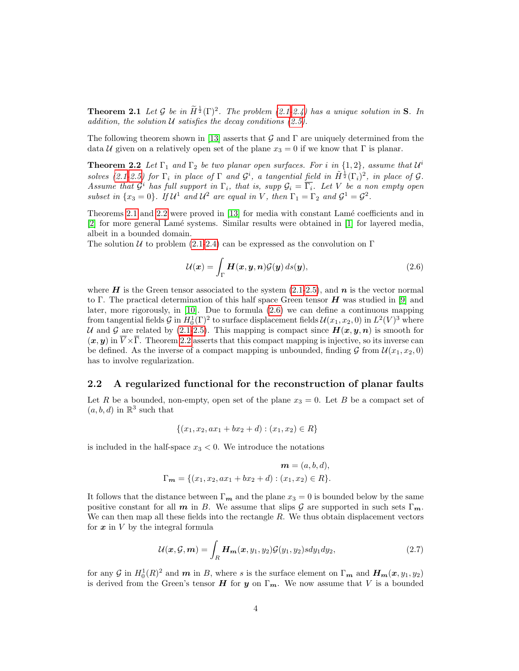**Theorem 2.1** Let G be in  $\widetilde{H}^{\frac{1}{2}}(\Gamma)^2$ . The problem [\(2.1-2.4\)](#page-2-0) has a unique solution in S. In addition, the solution  $U$  satisfies the decay conditions  $(2.5)$ .

The following theorem shown in [\[13\]](#page-23-1) asserts that G and  $\Gamma$  are uniquely determined from the data U given on a relatively open set of the plane  $x_3 = 0$  if we know that  $\Gamma$  is planar.

**Theorem 2.2** Let  $\Gamma_1$  and  $\Gamma_2$  be two planar open surfaces. For i in  $\{1,2\}$ , assume that  $\mathcal{U}^i$ solves [\(2.1-2.5\)](#page-2-0) for  $\Gamma_i$  in place of  $\Gamma$  and  $\mathcal{G}^i$ , a tangential field in  $\tilde{H}^{\frac{1}{2}}(\Gamma_i)^2$ , in place of  $\mathcal{G}$ . Assume that  $\mathcal{G}^i$  has full support in  $\Gamma_i$ , that is, supp  $\mathcal{G}_i = \overline{\Gamma_i}$ . Let V be a non empty open subset in  $\{x_3 = 0\}$ . If  $\mathcal{U}^1$  and  $\mathcal{U}^2$  are equal in V, then  $\Gamma_1 = \Gamma_2$  and  $\mathcal{G}^1 = \mathcal{G}^2$ .

Theorems [2.1](#page-2-1) and [2.2](#page-3-0) were proved in [\[13\]](#page-23-1) for media with constant Lamé coefficients and in [\[2\]](#page-23-6) for more general Lam´e systems. Similar results were obtained in [\[1\]](#page-23-7) for layered media, albeit in a bounded domain.

The solution U to problem [\(2.1-2.4\)](#page-2-0) can be expressed as the convolution on  $\Gamma$ 

<span id="page-3-1"></span><span id="page-3-0"></span>
$$
\mathcal{U}(\boldsymbol{x}) = \int_{\Gamma} \boldsymbol{H}(\boldsymbol{x}, \boldsymbol{y}, \boldsymbol{n}) \mathcal{G}(\boldsymbol{y}) \, ds(\boldsymbol{y}), \tag{2.6}
$$

where H is the Green tensor associated to the system  $(2.1-2.5)$ , and  $n$  is the vector normal to Γ. The practical determination of this half space Green tensor  $H$  was studied in [\[9\]](#page-23-8) and later, more rigorously, in [\[10\]](#page-23-9). Due to formula [\(2.6\)](#page-3-1) we can define a continuous mapping from tangential fields  $\mathcal{G}$  in  $H_0^1(\Gamma)^2$  to surface displacement fields  $\mathcal{U}(x_1, x_2, 0)$  in  $L^2(V)^3$  where U and G are related by [\(2.1-2.5\)](#page-2-0). This mapping is compact since  $H(x, y, n)$  is smooth for  $(x, y)$  in  $\overline{V} \times \overline{\Gamma}$ . Theorem [2.2](#page-3-0) asserts that this compact mapping is injective, so its inverse can be defined. As the inverse of a compact mapping is unbounded, finding  $\mathcal G$  from  $\mathcal U(x_1, x_2, 0)$ has to involve regularization.

#### 2.2 A regularized functional for the reconstruction of planar faults

Let R be a bounded, non-empty, open set of the plane  $x_3 = 0$ . Let B be a compact set of  $(a, b, d)$  in  $\mathbb{R}^3$  such that

$$
\{(x_1, x_2, ax_1 + bx_2 + d) : (x_1, x_2) \in R\}
$$

is included in the half-space  $x_3 < 0$ . We introduce the notations

$$
\mathbf{m} = (a, b, d),
$$
  
\n
$$
\Gamma_{\mathbf{m}} = \{(x_1, x_2, ax_1 + bx_2 + d) : (x_1, x_2) \in R\}.
$$

It follows that the distance between  $\Gamma_m$  and the plane  $x_3 = 0$  is bounded below by the same positive constant for all m in B. We assume that slips G are supported in such sets  $\Gamma_m$ . We can then map all these fields into the rectangle  $R$ . We thus obtain displacement vectors for  $x$  in  $V$  by the integral formula

$$
\mathcal{U}(\boldsymbol{x}, \mathcal{G}, \boldsymbol{m}) = \int_{R} \boldsymbol{H}_{\boldsymbol{m}}(\boldsymbol{x}, y_1, y_2) \mathcal{G}(y_1, y_2) s dy_1 dy_2, \qquad (2.7)
$$

for any G in  $H_0^1(R)^2$  and  $m$  in B, where s is the surface element on  $\Gamma_m$  and  $H_m(x, y_1, y_2)$ is derived from the Green's tensor H for y on  $\Gamma_m$ . We now assume that V is a bounded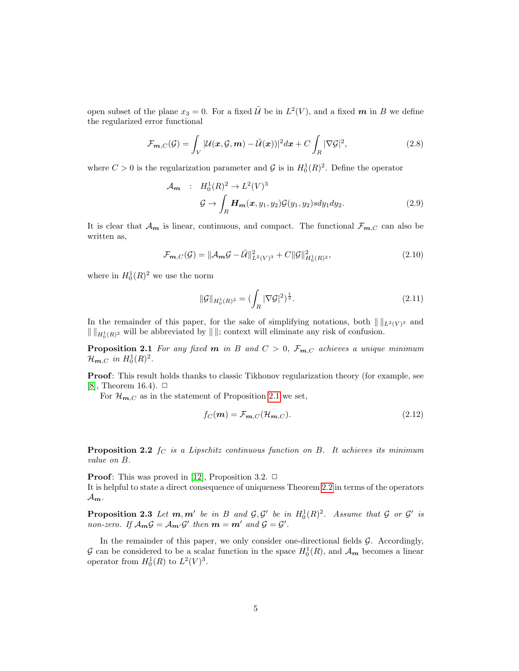open subset of the plane  $x_3 = 0$ . For a fixed  $\tilde{U}$  be in  $L^2(V)$ , and a fixed m in B we define the regularized error functional

$$
\mathcal{F}_{m,C}(\mathcal{G}) = \int_{V} |\mathcal{U}(\boldsymbol{x}, \mathcal{G}, \boldsymbol{m}) - \tilde{\mathcal{U}}(\boldsymbol{x}))|^2 d\boldsymbol{x} + C \int_{R} |\nabla \mathcal{G}|^2,
$$
\n(2.8)

where  $C > 0$  is the regularization parameter and  $\mathcal{G}$  is in  $H_0^1(R)^2$ . Define the operator

<span id="page-4-1"></span>
$$
\mathcal{A}_{m} : H_0^1(R)^2 \to L^2(V)^3
$$
  

$$
\mathcal{G} \to \int_R \mathbf{H}_{m}(\mathbf{x}, y_1, y_2) \mathcal{G}(y_1, y_2) s dy_1 dy_2.
$$
 (2.9)

It is clear that  $\mathcal{A}_{m}$  is linear, continuous, and compact. The functional  $\mathcal{F}_{m,C}$  can also be written as,

$$
\mathcal{F}_{m,C}(\mathcal{G}) = ||\mathcal{A}_m \mathcal{G} - \tilde{\mathcal{U}}||_{L^2(V)^3}^2 + C||\mathcal{G}||_{H_0^1(R)^2}^2,
$$
\n(2.10)

where in  $H_0^1(R)^2$  we use the norm

<span id="page-4-0"></span>
$$
\|\mathcal{G}\|_{H_0^1(R)^2} = \left(\int_R |\nabla \mathcal{G}|^2\right)^{\frac{1}{2}}.\tag{2.11}
$$

In the remainder of this paper, for the sake of simplifying notations, both  $\| \cdot \|_{L^2(V)^3}$  and  $\| \|_{H^1_0(R)^2}$  will be abbreviated by  $\| \|$ ; context will eliminate any risk of confusion.

**Proposition 2.1** For any fixed **m** in B and  $C > 0$ ,  $\mathcal{F}_{m,C}$  achieves a unique minimum  $\mathcal{H}_{m,C}$  in  $H_0^1(R)^2$ .

Proof: This result holds thanks to classic Tikhonov regularization theory (for example, see [\[8\]](#page-23-10), Theorem 16.4).  $\Box$ 

For  $\mathcal{H}_{m,C}$  as in the statement of Proposition [2.1](#page-4-0) we set,

$$
f_C(\mathbf{m}) = \mathcal{F}_{\mathbf{m},C}(\mathcal{H}_{\mathbf{m},C}).
$$
\n(2.12)

<span id="page-4-2"></span>**Proposition 2.2** f<sub>C</sub> is a Lipschitz continuous function on B. It achieves its minimum value on B.

<span id="page-4-3"></span>**Proof:** This was proved in [\[12\]](#page-23-3), Proposition 3.2.  $\Box$ It is helpful to state a direct consequence of uniqueness Theorem [2.2](#page-3-0) in terms of the operators  $\mathcal{A}_{m}$ .

**Proposition 2.3** Let  $m, m'$  be in B and  $\mathcal{G}, \mathcal{G}'$  be in  $H_0^1(R)^2$ . Assume that  $\mathcal{G}$  or  $\mathcal{G}'$  is non-zero. If  $\mathcal{A}_{m}\mathcal{G} = \mathcal{A}_{m'}\mathcal{G}'$  then  $m = m'$  and  $\mathcal{G} = \mathcal{G}'$ .

In the remainder of this paper, we only consider one-directional fields  $G$ . Accordingly, G can be considered to be a scalar function in the space  $H_0^1(R)$ , and  $\mathcal{A}_{m}$  becomes a linear operator from  $H_0^1(R)$  to  $L^2(V)^3$ .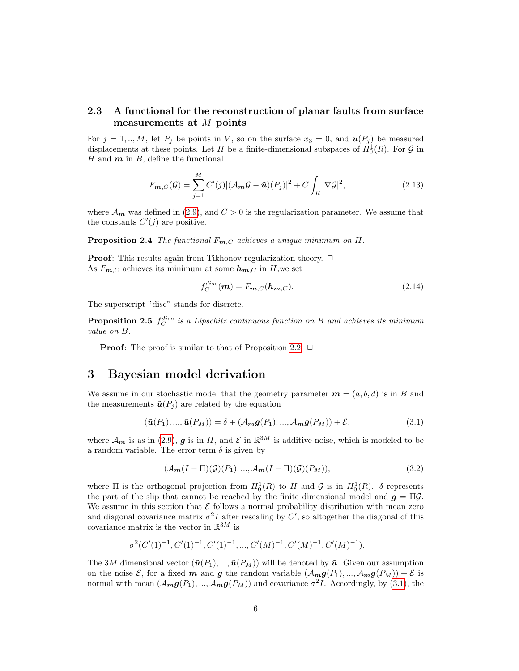### 2.3 A functional for the reconstruction of planar faults from surface measurements at M points

For  $j = 1, ..., M$ , let  $P_j$  be points in V, so on the surface  $x_3 = 0$ , and  $\tilde{u}(P_j)$  be measured displacements at these points. Let H be a finite-dimensional subspaces of  $H_0^1(R)$ . For G in H and  $m$  in  $B$ , define the functional

$$
F_{\mathbf{m},C}(\mathcal{G}) = \sum_{j=1}^{M} C'(j) |(\mathcal{A}_{\mathbf{m}}\mathcal{G} - \tilde{\mathbf{u}})(P_j)|^2 + C \int_{R} |\nabla \mathcal{G}|^2,
$$
\n(2.13)

where  $\mathcal{A}_{m}$  was defined in [\(2.9\)](#page-4-1), and  $C > 0$  is the regularization parameter. We assume that the constants  $C'(j)$  are positive.

**Proposition 2.4** The functional  $F_{m,C}$  achieves a unique minimum on  $H$ .

**Proof:** This results again from Tikhonov regularization theory.  $\Box$ As  $F_{\mathbf{m},C}$  achieves its minimum at some  $\mathbf{h}_{\mathbf{m},C}$  in H, we set

<span id="page-5-2"></span>
$$
f_C^{disc}(\mathbf{m}) = F_{\mathbf{m},C}(\mathbf{h}_{\mathbf{m},C}).
$$
\n(2.14)

The superscript "disc" stands for discrete.

**Proposition 2.5**  $f_C^{disc}$  is a Lipschitz continuous function on B and achieves its minimum value on B.

**Proof:** The proof is similar to that of Proposition [2.2.](#page-4-2)  $\Box$ 

### <span id="page-5-0"></span>3 Bayesian model derivation

We assume in our stochastic model that the geometry parameter  $\mathbf{m} = (a, b, d)$  is in B and the measurements  $\tilde{\boldsymbol{u}}(P_i)$  are related by the equation

<span id="page-5-1"></span>
$$
(\tilde{\boldsymbol{u}}(P_1), ..., \tilde{\boldsymbol{u}}(P_M)) = \delta + (\mathcal{A}_m \boldsymbol{g}(P_1), ..., \mathcal{A}_m \boldsymbol{g}(P_M)) + \mathcal{E},
$$
\n(3.1)

where  $\mathcal{A}_{m}$  is as in [\(2.9\)](#page-4-1), g is in H, and  $\mathcal{E}$  in  $\mathbb{R}^{3M}$  is additive noise, which is modeled to be a random variable. The error term  $\delta$  is given by

<span id="page-5-3"></span>
$$
(\mathcal{A}_{m}(I - \Pi)(\mathcal{G})(P_1), ..., \mathcal{A}_{m}(I - \Pi)(\mathcal{G})(P_M)), \qquad (3.2)
$$

where  $\Pi$  is the orthogonal projection from  $H_0^1(R)$  to H and G is in  $H_0^1(R)$ .  $\delta$  represents the part of the slip that cannot be reached by the finite dimensional model and  $g = \Pi \mathcal{G}$ . We assume in this section that  $\mathcal E$  follows a normal probability distribution with mean zero and diagonal covariance matrix  $\sigma^2 I$  after rescaling by C', so altogether the diagonal of this covariance matrix is the vector in  $\mathbb{R}^{3M}$  is

$$
\sigma^2(C'(1)^{-1}, C'(1)^{-1}, C'(1)^{-1}, \ldots, C'(M)^{-1}, C'(M)^{-1}, C'(M)^{-1}).
$$

The 3M dimensional vector  $(\tilde{u}(P_1), ..., \tilde{u}(P_M))$  will be denoted by  $\tilde{u}$ . Given our assumption on the noise  $\mathcal{E}$ , for a fixed m and g the random variable  $(\mathcal{A}_{m}g(P_1), ..., \mathcal{A}_{m}g(P_M)) + \mathcal{E}$  is normal with mean  $(A_{m}g(P_{1}),..., A_{m}g(P_{M}))$  and covariance  $\sigma^{2}I$ . Accordingly, by [\(3.1\)](#page-5-1), the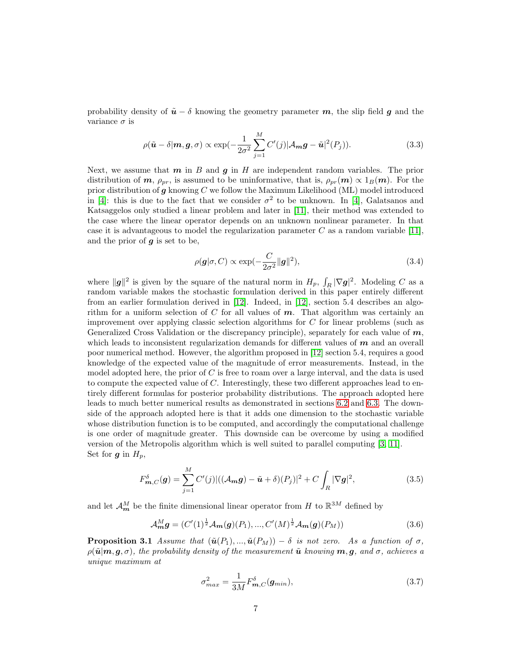probability density of  $\tilde{u} - \delta$  knowing the geometry parameter m, the slip field g and the variance  $\sigma$  is

$$
\rho(\tilde{\boldsymbol{u}} - \delta | \boldsymbol{m}, \boldsymbol{g}, \sigma) \propto \exp(-\frac{1}{2\sigma^2} \sum_{j=1}^{M} C'(j) |A_{\boldsymbol{m}} \boldsymbol{g} - \tilde{\boldsymbol{u}}|^2(P_j)).
$$
\n(3.3)

Next, we assume that  $m$  in  $B$  and  $g$  in  $H$  are independent random variables. The prior distribution of  $m$ ,  $\rho_{pr}$ , is assumed to be uninformative, that is,  $\rho_{pr}(m) \propto 1_B(m)$ . For the prior distribution of  $g$  knowing  $C$  we follow the Maximum Likelihood (ML) model introduced in [\[4\]](#page-23-11): this is due to the fact that we consider  $\sigma^2$  to be unknown. In [4], Galatsanos and Katsaggelos only studied a linear problem and later in [\[11\]](#page-23-0), their method was extended to the case where the linear operator depends on an unknown nonlinear parameter. In that case it is advantageous to model the regularization parameter  $C$  as a random variable [\[11\]](#page-23-0), and the prior of  $g$  is set to be,

<span id="page-6-0"></span>
$$
\rho(\mathbf{g}|\sigma, C) \propto \exp(-\frac{C}{2\sigma^2} ||\mathbf{g}||^2),\tag{3.4}
$$

where  $\|\mathbf{g}\|^2$  is given by the square of the natural norm in  $H_p$ ,  $\int_R |\nabla \mathbf{g}|^2$ . Modeling C as a random variable makes the stochastic formulation derived in this paper entirely different from an earlier formulation derived in [\[12\]](#page-23-3). Indeed, in [\[12\]](#page-23-3), section 5.4 describes an algorithm for a uniform selection of  $C$  for all values of  $m$ . That algorithm was certainly an improvement over applying classic selection algorithms for C for linear problems (such as Generalized Cross Validation or the discrepancy principle), separately for each value of  $m$ , which leads to inconsistent regularization demands for different values of  $m$  and an overall poor numerical method. However, the algorithm proposed in [\[12\]](#page-23-3) section 5.4, requires a good knowledge of the expected value of the magnitude of error measurements. Instead, in the model adopted here, the prior of  $C$  is free to roam over a large interval, and the data is used to compute the expected value of  $C$ . Interestingly, these two different approaches lead to entirely different formulas for posterior probability distributions. The approach adopted here leads to much better numerical results as demonstrated in sections [6.2](#page-18-0) and [6.3.](#page-21-0) The downside of the approach adopted here is that it adds one dimension to the stochastic variable whose distribution function is to be computed, and accordingly the computational challenge is one order of magnitude greater. This downside can be overcome by using a modified version of the Metropolis algorithm which is well suited to parallel computing [\[3,](#page-23-5) [11\]](#page-23-0). Set for  $g$  in  $H_p$ ,

$$
F_{\boldsymbol{m},C}^{\delta}(\boldsymbol{g}) = \sum_{j=1}^{M} C'(j) |((\mathcal{A}_{\boldsymbol{m}}\boldsymbol{g}) - \tilde{\boldsymbol{u}} + \delta)(P_j)|^2 + C \int_{R} |\nabla \boldsymbol{g}|^2,
$$
(3.5)

and let  $\mathcal{A}_{m}^{M}$  be the finite dimensional linear operator from H to  $\mathbb{R}^{3M}$  defined by

<span id="page-6-1"></span>
$$
\mathcal{A}_{m}^{M}g = (C'(1)^{\frac{1}{2}}\mathcal{A}_{m}(g)(P_{1}),...,C'(M)^{\frac{1}{2}}\mathcal{A}_{m}(g)(P_{M}))
$$
\n(3.6)

**Proposition 3.1** Assume that  $(\tilde{u}(P_1), ..., \tilde{u}(P_M)) - \delta$  is not zero. As a function of  $\sigma$ ,  $\rho(\tilde{\bm{u}}|\bm{m},\bm{g},\sigma)$ , the probability density of the measurement  $\tilde{\bm{u}}$  knowing  $\bm{m},\bm{g},$  and  $\sigma$ , achieves a unique maximum at

<span id="page-6-2"></span>
$$
\sigma_{max}^2 = \frac{1}{3M} F_{m,C}^{\delta}(\mathbf{g}_{min}),\tag{3.7}
$$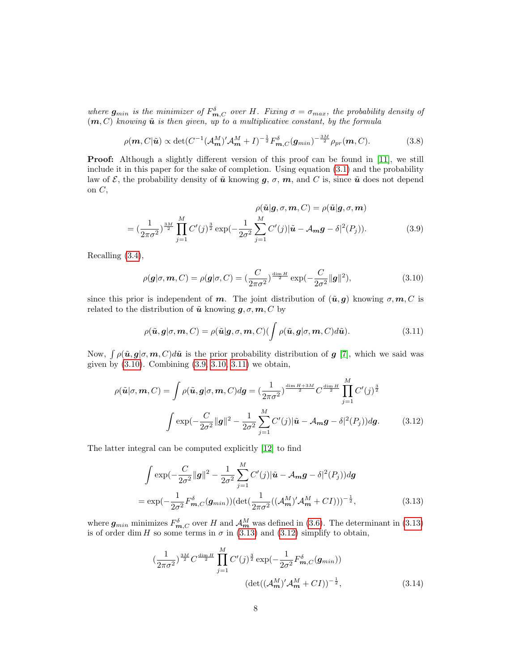where  $g_{min}$  is the minimizer of  $F_{m,C}^{\delta}$  over H. Fixing  $\sigma = \sigma_{max}$ , the probability density of  $(m, C)$  knowing  $\tilde{u}$  is then given, up to a multiplicative constant, by the formula

<span id="page-7-6"></span>
$$
\rho(\boldsymbol{m}, C|\tilde{\boldsymbol{u}}) \propto \det(C^{-1}(\mathcal{A}_{\boldsymbol{m}}^M)' \mathcal{A}_{\boldsymbol{m}}^M + I)^{-\frac{1}{2}} F_{\boldsymbol{m},C}^{\delta}(\boldsymbol{g}_{min})^{-\frac{3M}{2}} \rho_{pr}(\boldsymbol{m}, C). \tag{3.8}
$$

**Proof:** Although a slightly different version of this proof can be found in [\[11\]](#page-23-0), we still include it in this paper for the sake of completion. Using equation [\(3.1\)](#page-5-1) and the probability law of  $\mathcal{E}$ , the probability density of  $\tilde{u}$  knowing  $g, \sigma, m$ , and C is, since  $\tilde{u}$  does not depend on  $C$ ,

<span id="page-7-1"></span>
$$
\rho(\tilde{\mathbf{u}}|\mathbf{g},\sigma,\mathbf{m},C) = \rho(\tilde{\mathbf{u}}|\mathbf{g},\sigma,\mathbf{m})
$$

$$
= \left(\frac{1}{2\pi\sigma^2}\right)^{\frac{3M}{2}} \prod_{j=1}^M C'(j)^{\frac{3}{2}} \exp\left(-\frac{1}{2\sigma^2} \sum_{j=1}^M C'(j)|\tilde{\mathbf{u}} - \mathcal{A}_m \mathbf{g} - \delta|^2(P_j)\right).
$$
(3.9)

Recalling [\(3.4\)](#page-6-0),

<span id="page-7-0"></span>
$$
\rho(\mathbf{g}|\sigma,\mathbf{m},C) = \rho(\mathbf{g}|\sigma,C) = \left(\frac{C}{2\pi\sigma^2}\right)^{\frac{\dim H}{2}} \exp\left(-\frac{C}{2\sigma^2} \|\mathbf{g}\|^2\right),\tag{3.10}
$$

since this prior is independent of m. The joint distribution of  $(\tilde{u}, q)$  knowing  $\sigma, m, C$  is related to the distribution of  $\tilde{u}$  knowing  $g, \sigma, m, C$  by

<span id="page-7-2"></span>
$$
\rho(\tilde{\boldsymbol{u}}, \boldsymbol{g} | \sigma, \boldsymbol{m}, C) = \rho(\tilde{\boldsymbol{u}} | \boldsymbol{g}, \sigma, \boldsymbol{m}, C) (\int \rho(\tilde{\boldsymbol{u}}, \boldsymbol{g} | \sigma, \boldsymbol{m}, C) d\tilde{\boldsymbol{u}}).
$$
(3.11)

Now,  $\int \rho(\tilde{\boldsymbol{u}}, g | \sigma, \boldsymbol{m}, C) d\tilde{\boldsymbol{u}}$  is the prior probability distribution of g [\[7\]](#page-23-12), which we said was given by  $(3.10)$ . Combining  $(3.9, 3.10, 3.11)$  $(3.9, 3.10, 3.11)$  $(3.9, 3.10, 3.11)$  we obtain,

<span id="page-7-4"></span>
$$
\rho(\tilde{\mathbf{u}}|\sigma,\mathbf{m},C) = \int \rho(\tilde{\mathbf{u}},\mathbf{g}|\sigma,\mathbf{m},C) d\mathbf{g} = \left(\frac{1}{2\pi\sigma^2}\right)^{\frac{\dim H + 3M}{2}} C^{\frac{\dim H}{2}} \prod_{j=1}^{M} C'(j)^{\frac{3}{2}}
$$

$$
\int \exp\left(-\frac{C}{2\sigma^2} \|\mathbf{g}\|^2 - \frac{1}{2\sigma^2} \sum_{j=1}^{M} C'(j) |\tilde{\mathbf{u}} - \mathcal{A}_{\mathbf{m}} \mathbf{g} - \delta|^2(P_j) \right) d\mathbf{g}.
$$
(3.12)

The latter integral can be computed explicitly [\[12\]](#page-23-3) to find

<span id="page-7-3"></span>
$$
\int \exp(-\frac{C}{2\sigma^2}||\mathbf{g}||^2 - \frac{1}{2\sigma^2}\sum_{j=1}^M C'(j)|\tilde{\mathbf{u}} - A_m \mathbf{g} - \delta|^2(P_j))d\mathbf{g}
$$
  
=  $\exp(-\frac{1}{2\sigma^2}F_{m,C}^{\delta}(\mathbf{g}_{min}))(\det(\frac{1}{2\pi\sigma^2}((\mathcal{A}_{m}^{M})'\mathcal{A}_{m}^{M} + CI)))^{-\frac{1}{2}},$  (3.13)

where  $g_{min}$  minimizes  $F_{m,C}^{\delta}$  over H and  $\mathcal{A}_{m}^{M}$  was defined in [\(3.6\)](#page-6-1). The determinant in [\(3.13\)](#page-7-3) is of order dim H so some terms in  $\sigma$  in [\(3.13\)](#page-7-3) and [\(3.12\)](#page-7-4) simplify to obtain,

<span id="page-7-5"></span>
$$
\left(\frac{1}{2\pi\sigma^2}\right)^{\frac{3M}{2}} C^{\frac{\dim H}{2}} \prod_{j=1}^M C'(j)^{\frac{3}{2}} \exp\left(-\frac{1}{2\sigma^2} F_{m,C}^{\delta}(g_{min})\right) \left(\det((\mathcal{A}_m^M)'\mathcal{A}_m^M + CI)\right)^{-\frac{1}{2}}, \tag{3.14}
$$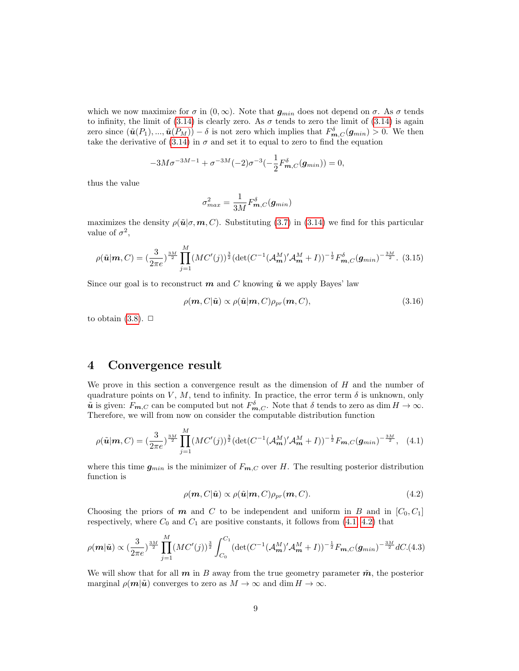which we now maximize for  $\sigma$  in  $(0,\infty)$ . Note that  $g_{min}$  does not depend on  $\sigma$ . As  $\sigma$  tends to infinity, the limit of [\(3.14\)](#page-7-5) is clearly zero. As  $\sigma$  tends to zero the limit of (3.14) is again zero since  $(\tilde{u}(P_1), ..., \tilde{u}(P_M)) - \delta$  is not zero which implies that  $F_{m,C}^{\delta}(\mathbf{g}_{min}) > 0$ . We then take the derivative of  $(3.14)$  in  $\sigma$  and set it to equal to zero to find the equation

$$
-3M\sigma^{-3M-1} + \sigma^{-3M}(-2)\sigma^{-3}\left(-\frac{1}{2}F_{m,C}^{\delta}(\mathbf{g}_{min})\right) = 0,
$$

thus the value

$$
\sigma_{max}^2 = \frac{1}{3M} F_{\boldsymbol{m},C}^{\delta}(\boldsymbol{g}_{min})
$$

maximizes the density  $\rho(\tilde{\mathbf{u}}|\sigma, \mathbf{m}, C)$ . Substituting [\(3.7\)](#page-6-2) in [\(3.14\)](#page-7-5) we find for this particular value of  $\sigma^2$ ,

<span id="page-8-4"></span>
$$
\rho(\tilde{\mathbf{u}}|\mathbf{m}, C) = \left(\frac{3}{2\pi e}\right)^{\frac{3M}{2}} \prod_{j=1}^{M} (MC'(j))^{\frac{3}{2}} \left(\det(C^{-1}(\mathcal{A}_{\mathbf{m}}^M)' \mathcal{A}_{\mathbf{m}}^M + I)\right)^{-\frac{1}{2}} F_{\mathbf{m}, C}^{\delta}(\mathbf{g}_{\min})^{-\frac{3M}{2}}.
$$
(3.15)

Since our goal is to reconstruct  $m$  and C knowing  $\tilde{u}$  we apply Bayes' law

$$
\rho(\mathbf{m}, C|\tilde{\mathbf{u}}) \propto \rho(\tilde{\mathbf{u}}|\mathbf{m}, C)\rho_{pr}(\mathbf{m}, C), \tag{3.16}
$$

to obtain  $(3.8)$ .  $\Box$ 

### <span id="page-8-0"></span>4 Convergence result

We prove in this section a convergence result as the dimension of  $H$  and the number of quadrature points on V, M, tend to infinity. In practice, the error term  $\delta$  is unknown, only  $\tilde{u}$  is given:  $F_{m,C}$  can be computed but not  $F_{m,C}^{\delta}$ . Note that  $\delta$  tends to zero as dim  $H \to \infty$ . Therefore, we will from now on consider the computable distribution function

<span id="page-8-1"></span>
$$
\rho(\tilde{\mathbf{u}}|\mathbf{m}, C) = \left(\frac{3}{2\pi e}\right)^{\frac{3M}{2}} \prod_{j=1}^{M} (MC'(j))^{\frac{3}{2}} (\det(C^{-1}(\mathcal{A}_{\mathbf{m}}^M)' \mathcal{A}_{\mathbf{m}}^M + I))^{-\frac{1}{2}} F_{\mathbf{m}, C}(\mathbf{g}_{\min})^{-\frac{3M}{2}}, \quad (4.1)
$$

where this time  $g_{min}$  is the minimizer of  $F_{m,C}$  over H. The resulting posterior distribution function is

<span id="page-8-2"></span>
$$
\rho(\mathbf{m}, C|\tilde{\mathbf{u}}) \propto \rho(\tilde{\mathbf{u}}|\mathbf{m}, C)\rho_{pr}(\mathbf{m}, C). \tag{4.2}
$$

Choosing the priors of  $m$  and  $C$  to be independent and uniform in  $B$  and in  $[C_0, C_1]$ respectively, where  $C_0$  and  $C_1$  are positive constants, it follows from  $(4.1, 4.2)$  $(4.1, 4.2)$  that

<span id="page-8-3"></span>
$$
\rho(\mathbf{m}|\tilde{\mathbf{u}}) \propto (\frac{3}{2\pi e})^{\frac{3M}{2}} \prod_{j=1}^{M} (MC'(j))^{\frac{3}{2}} \int_{C_0}^{C_1} (\det(C^{-1}(\mathcal{A}_{\mathbf{m}}^M)' \mathcal{A}_{\mathbf{m}}^M + I))^{-\frac{1}{2}} F_{\mathbf{m},C}(\mathbf{g}_{min})^{-\frac{3M}{2}} dC.(4.3)
$$

We will show that for all  $m$  in B away from the true geometry parameter  $\tilde{m}$ , the posterior marginal  $\rho(\mathbf{m}|\tilde{\mathbf{u}})$  converges to zero as  $M \to \infty$  and dim  $H \to \infty$ .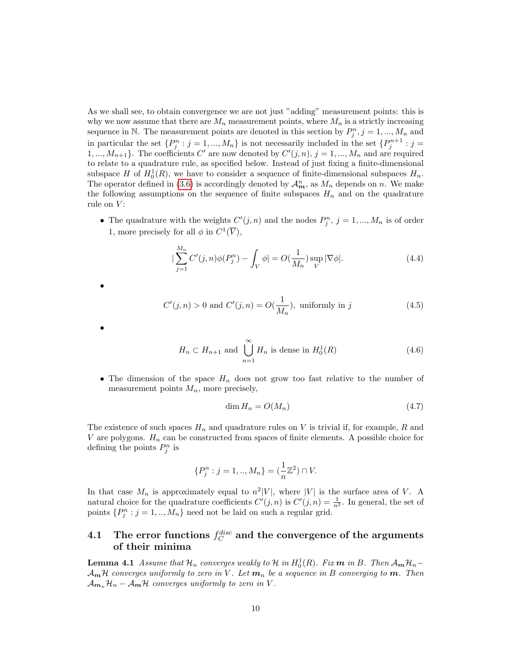As we shall see, to obtain convergence we are not just "adding" measurement points: this is why we now assume that there are  $M_n$  measurement points, where  $M_n$  is a strictly increasing sequence in N. The measurement points are denoted in this section by  $P_j^n$ ,  $j = 1, ..., M_n$  and in particular the set  $\{P_j^n : j = 1, ..., M_n\}$  is not necessarily included in the set  $\{P_j^{n+1} : j = 1, ..., M_n\}$ 1, ...,  $M_{n+1}$ . The coefficients C' are now denoted by  $C'(j, n)$ ,  $j = 1, ..., M_n$  and are required to relate to a quadrature rule, as specified below. Instead of just fixing a finite-dimensional subspace H of  $H_0^1(R)$ , we have to consider a sequence of finite-dimensional subspaces  $H_n$ . The operator defined in [\(3.6\)](#page-6-1) is accordingly denoted by  $\mathcal{A}_{m}^{n}$ , as  $M_{n}$  depends on n. We make the following assumptions on the sequence of finite subspaces  $H_n$  and on the quadrature rule on  $V$ :

• The quadrature with the weights  $C'(j, n)$  and the nodes  $P_j^n$ ,  $j = 1, ..., M_n$  is of order 1, more precisely for all  $\phi$  in  $C^1(\overline{V})$ ,

<span id="page-9-3"></span>
$$
|\sum_{j=1}^{M_n} C'(j, n)\phi(P_j^n) - \int_V \phi| = O(\frac{1}{M_n}) \sup_V |\nabla \phi|.
$$
 (4.4)

<span id="page-9-2"></span>
$$
C'(j, n) > 0 \text{ and } C'(j, n) = O(\frac{1}{M_n}), \text{ uniformly in } j
$$
\n
$$
(4.5)
$$

•

•

<span id="page-9-0"></span>
$$
H_n \subset H_{n+1} \text{ and } \bigcup_{n=1}^{\infty} H_n \text{ is dense in } H_0^1(R)
$$
 (4.6)

• The dimension of the space  $H_n$  does not grow too fast relative to the number of measurement points  $M_n$ , more precisely,

<span id="page-9-4"></span>
$$
\dim H_n = O(M_n) \tag{4.7}
$$

The existence of such spaces  $H_n$  and quadrature rules on V is trivial if, for example, R and V are polygons.  $H_n$  can be constructed from spaces of finite elements. A possible choice for defining the points  $P_j^n$  is

$$
\{P_j^n : j = 1,..,M_n\} = (\frac{1}{n}\mathbb{Z}^2) \cap V.
$$

In that case  $M_n$  is approximately equal to  $n^2|V|$ , where |V| is the surface area of V. A natural choice for the quadrature coefficients  $C'(j, n)$  is  $C'(j, n) = \frac{1}{n^2}$ . In general, the set of points  $\{P_j^n : j = 1, ..., M_n\}$  need not be laid on such a regular grid.

### $\quad.1 \quad \text{The error functions } f_C^{disc} \text{ and the convergence of the arguments}$ of their minima

<span id="page-9-1"></span>**Lemma 4.1** Assume that  $\mathcal{H}_n$  converges weakly to  $\mathcal{H}$  in  $H_0^1(R)$ . Fix  $m$  in  $B$ . Then  $\mathcal{A}_{m} \mathcal{H}_{n}$ - $\mathcal{A}_{m}$ H converges uniformly to zero in V. Let  $m_n$  be a sequence in B converging to m. Then  $\mathcal{A}_{m_n} \mathcal{H}_n - \mathcal{A}_m \mathcal{H}$  converges uniformly to zero in V.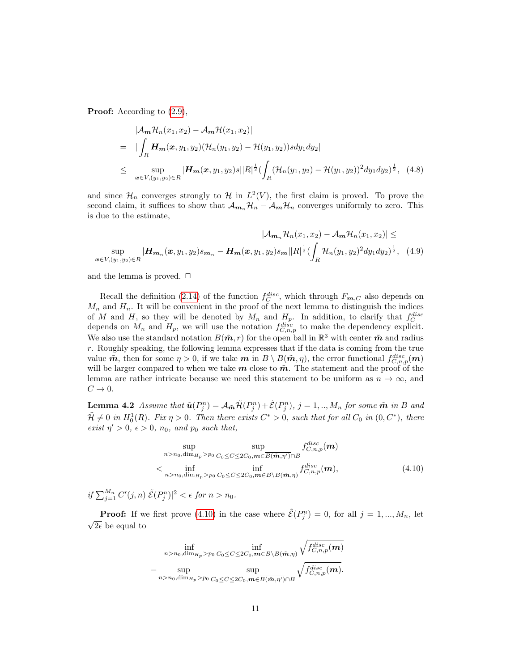Proof: According to  $(2.9)$ ,

$$
|\mathcal{A}_{m}\mathcal{H}_{n}(x_{1}, x_{2}) - \mathcal{A}_{m}\mathcal{H}(x_{1}, x_{2})|
$$
  
\n
$$
= |\int_{R} \mathbf{H}_{m}(\boldsymbol{x}, y_{1}, y_{2}) (\mathcal{H}_{n}(y_{1}, y_{2}) - \mathcal{H}(y_{1}, y_{2})) s dy_{1} dy_{2}|
$$
  
\n
$$
\leq \sup_{\boldsymbol{x} \in V, (y_{1}, y_{2}) \in R} |\mathbf{H}_{m}(\boldsymbol{x}, y_{1}, y_{2}) s| |R|^{1/2} (\int_{R} (\mathcal{H}_{n}(y_{1}, y_{2}) - \mathcal{H}(y_{1}, y_{2}))^{2} dy_{1} dy_{2})^{1/2},
$$
 (4.8)

and since  $\mathcal{H}_n$  converges strongly to  $\mathcal{H}$  in  $L^2(V)$ , the first claim is proved. To prove the second claim, it suffices to show that  $\mathcal{A}_{m_n} \mathcal{H}_n - \mathcal{A}_m \mathcal{H}_n$  converges uniformly to zero. This is due to the estimate,

<span id="page-10-1"></span>
$$
|\mathcal{A}_{m_n}\mathcal{H}_n(x_1, x_2) - \mathcal{A}_m\mathcal{H}_n(x_1, x_2)| \le
$$
  

$$
\sup_{\boldsymbol{x}\in V, (y_1, y_2)\in R} |\mathbf{H}_{m_n}(\boldsymbol{x}, y_1, y_2) s_{m_n} - \mathbf{H}_m(\boldsymbol{x}, y_1, y_2) s_m ||R|^{\frac{1}{2}} (\int_R \mathcal{H}_n(y_1, y_2)^2 dy_1 dy_2)^{\frac{1}{2}}, \quad (4.9)
$$

and the lemma is proved.  $\Box$ 

Recall the definition [\(2.14\)](#page-5-2) of the function  $f_C^{disc}$ , which through  $F_{m,C}$  also depends on  $M_n$  and  $H_n$ . It will be convenient in the proof of the next lemma to distinguish the indices of M and H, so they will be denoted by  $M_n$  and  $H_p$ . In addition, to clarify that  $f_C^{disc}$  depends on  $M_n$  and  $H_p$ , we will use the notation  $f_{C,n,p}^{disc}$  to make the dependency explicit. We also use the standard notation  $B(\tilde{\boldsymbol{m}}, r)$  for the open ball in  $\mathbb{R}^3$  with center  $\tilde{\boldsymbol{m}}$  and radius r. Roughly speaking, the following lemma expresses that if the data is coming from the true value  $\tilde{m}$ , then for some  $\eta > 0$ , if we take  $m$  in  $B \setminus B(\tilde{m}, \eta)$ , the error functional  $f_{C,n,p}^{disc}(m)$ will be larger compared to when we take  $m$  close to  $\tilde{m}$ . The statement and the proof of the lemma are rather intricate because we need this statement to be uniform as  $n \to \infty$ , and  $C \rightarrow 0$ .

<span id="page-10-2"></span>**Lemma 4.2** Assume that  $\tilde{\mathbf{u}}(P_j^n) = \mathcal{A}_{\tilde{\mathbf{m}}} \tilde{\mathcal{H}}(P_j^n) + \tilde{\mathcal{E}}(P_j^n)$ ,  $j = 1, ..., M_n$  for some  $\tilde{\mathbf{m}}$  in B and  $\tilde{\mathcal{H}} \neq 0$  in  $H_0^1(R)$ . Fix  $\eta > 0$ . Then there exists  $C^* > 0$ , such that for all  $C_0$  in  $(0, C^*)$ , there exist  $\eta' > 0$ ,  $\epsilon > 0$ ,  $n_0$ , and  $p_0$  such that,

<span id="page-10-0"></span>
$$
\sup_{n>n_0, \dim_{H_p} > p_0} \sup_{C_0 \leq C \leq 2C_0, \mathbf{m} \in \overline{B(\tilde{\mathbf{m}}, \eta')} \cap B} f_{C, n, p}^{disc}(\mathbf{m})
$$
\n
$$
\left\langle \inf_{n>n_0, \dim_{H_p} > p_0} \inf_{C_0 \leq C \leq 2C_0, \mathbf{m} \in B \setminus B(\tilde{\mathbf{m}}, \eta)} f_{C, n, p}^{disc}(\mathbf{m}), \right\rangle \tag{4.10}
$$

if  $\sum_{j=1}^{M_n} C'(j, n) |\tilde{E}(P_j^n)|^2 < \epsilon$  for  $n > n_0$ .

**Proof:** If we first prove [\(4.10\)](#page-10-0) in the case where  $\tilde{\mathcal{E}}(P_j^n) = 0$ , for all  $j = 1, ..., M_n$ , let √  $2\epsilon$  be equal to

$$
\inf_{n>n_0,\dim_{H_p}>p_0}\inf_{C_0\leq C\leq 2C_0,\boldsymbol{m}\in B\setminus B(\tilde{\boldsymbol{m}},\eta)}\sqrt{f_{C,n,p}^{disc}(\boldsymbol{m})}\\\-\sup_{n>n_0,\dim_{H_p}>p_0}\sup_{C_0\leq C\leq 2C_0,\boldsymbol{m}\in \overline{B(\tilde{\boldsymbol{m}},\eta')}\cap B}\sqrt{f_{C,n,p}^{disc}(\boldsymbol{m})}.
$$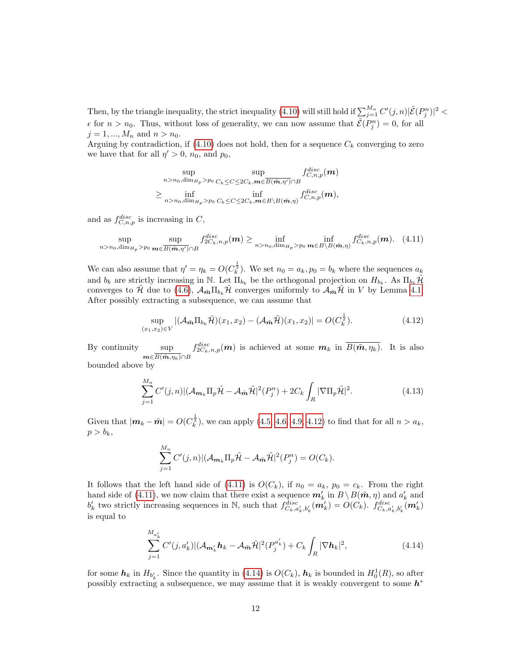Then, by the triangle inequality, the strict inequality [\(4.10\)](#page-10-0) will still hold if  $\sum_{j=1}^{M_n} C'(j,n) |\tilde{\mathcal{E}}(P_j^n)|^2 <$  $\epsilon$  for  $n > n_0$ . Thus, without loss of generality, we can now assume that  $\tilde{\mathcal{E}}(P_j^n) = 0$ , for all  $j = 1, ..., M_n$  and  $n > n_0$ .

Arguing by contradiction, if  $(4.10)$  does not hold, then for a sequence  $C_k$  converging to zero we have that for all  $\eta' > 0$ ,  $n_0$ , and  $p_0$ ,

$$
\sup_{n>n_0,\dim_{H_p}>p_0}\sup_{C_k\leq C\leq 2C_k,m\in \overline{B(\tilde{\boldsymbol{m}},\eta')}\cap B}f_{C,n,p}^{disc}(\boldsymbol{m})\\\geq \inf_{n>n_0,\dim_{H_p}>p_0}\inf_{C_k\leq C\leq 2C_k,m\in B\setminus B(\tilde{\boldsymbol{m}},\eta)}f_{C,n,p}^{disc}(\boldsymbol{m}),
$$

and as  $f_{C,n,p}^{disc}$  is increasing in C,

<span id="page-11-1"></span>
$$
\sup_{n>n_0,\dim_{H_p}>p_0}\sup_{\mathbf{m}\in\overline{B(\tilde{\mathbf{m}},\eta')}\cap B}f_{2C_k,n,p}^{disc}(\mathbf{m})\geq\inf_{n>n_0,\dim_{H_p}>p_0}\inf_{\mathbf{m}\in B\setminus B(\tilde{\mathbf{m}},\eta)}f_{C_k,n,p}^{disc}(\mathbf{m}).\tag{4.11}
$$

We can also assume that  $\eta' = \eta_k = O(C_k^{\frac{1}{2}})$ . We set  $n_0 = a_k, p_0 = b_k$  where the sequences  $a_k$ and  $b_k$  are strictly increasing in N. Let  $\Pi_{b_k}$  be the orthogonal projection on  $H_{b_k}$ . As  $\Pi_{b_k}\tilde{\mathcal{H}}$ converges to H due to [\(4.6\)](#page-9-0),  $\mathcal{A}_{m}\Pi_{b_k}$ H converges uniformly to  $\mathcal{A}_{m}\mathcal{H}$  in V by Lemma [4.1.](#page-9-1) After possibly extracting a subsequence, we can assume that

<span id="page-11-0"></span>
$$
\sup_{(x_1,x_2)\in V} |(\mathcal{A}_{\tilde{m}}\Pi_{b_k}\tilde{\mathcal{H}})(x_1,x_2) - (\mathcal{A}_{\tilde{m}}\tilde{\mathcal{H}})(x_1,x_2)| = O(C_k^{\frac{1}{2}}).
$$
\n(4.12)

By continuity  $\boldsymbol{m}{\in}B(\tilde{\boldsymbol{m}},\eta_k){\cap}B$  $f_{2C_k,n,p}^{disc}(m)$  is achieved at some  $m_k$  in  $\overline{B(\tilde{m}, \eta_k)}$ . It is also

bounded above by

M<sup>n</sup>

$$
\sum_{j=1}^{M_n} C'(j,n) | (\mathcal{A}_{m_k} \Pi_p \tilde{\mathcal{H}} - \mathcal{A}_{\tilde{m}} \tilde{\mathcal{H}} |^2 (P_j^n) + 2C_k \int_R |\nabla \Pi_p \tilde{\mathcal{H}}|^2. \tag{4.13}
$$

Given that  $|\mathbf{m}_k - \tilde{\mathbf{m}}| = O(C_k^{\frac{1}{2}})$ , we can apply [\(4.5,](#page-9-2) [4.6,](#page-9-0) [4.9,](#page-10-1) [4.12\)](#page-11-0) to find that for all  $n > a_k$ ,  $p > b_k$ ,

$$
\sum_{j=1}^{M_n} C'(j,n) | (\mathcal{A}_{m_k} \Pi_p \tilde{\mathcal{H}} - \mathcal{A}_{\tilde{\mathbf{m}}} \tilde{\mathcal{H}} |^2 (P_j^n) = O(C_k).
$$

It follows that the left hand side of [\(4.11\)](#page-11-1) is  $O(C_k)$ , if  $n_0 = a_k$ ,  $p_0 = c_k$ . From the right hand side of [\(4.11\)](#page-11-1), we now claim that there exist a sequence  $m'_k$  in  $B \setminus B(\tilde{m}, \eta)$  and  $a'_k$  and  $b'_k$  two strictly increasing sequences in N, such that  $f_{C_k, a'_k, b'_k}^{disc}(\mathbf{m}'_k) = O(C_k)$ .  $f_{C_k, a'_k, b'_k}^{disc}(\mathbf{m}'_k)$ is equal to

<span id="page-11-2"></span>
$$
\sum_{j=1}^{M_{a'_{k}}} C'(j, a'_{k}) | (\mathcal{A}_{m'_{k}} \boldsymbol{h}_{k} - \mathcal{A}_{\tilde{\boldsymbol{m}}} \tilde{\mathcal{H}} |^{2} (P_{j}^{a'_{k}}) + C_{k} \int_{R} |\nabla \boldsymbol{h}_{k}|^{2}, \tag{4.14}
$$

for some  $h_k$  in  $H_{b'_k}$ . Since the quantity in [\(4.14\)](#page-11-2) is  $O(C_k)$ ,  $h_k$  is bounded in  $H_0^1(R)$ , so after possibly extracting a subsequence, we may assume that it is weakly convergent to some  $h^*$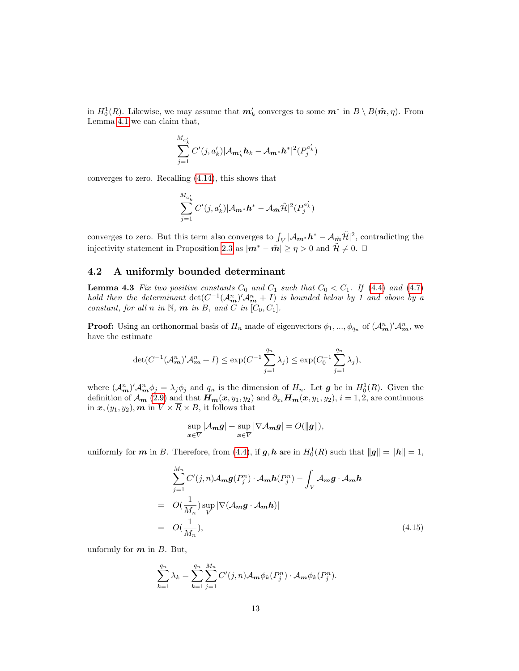in  $H_0^1(R)$ . Likewise, we may assume that  $m'_k$  converges to some  $m^*$  in  $B \setminus B(\tilde{m}, \eta)$ . From Lemma [4.1](#page-9-1) we can claim that,

$$
\sum_{j=1}^{M_{a'_{k}}} C'(j, a'_{k}) |A_{m'_{k}} h_{k} - A_{m^{*}} h^{*}|^{2} (P_{j}^{a'_{k}})
$$

converges to zero. Recalling [\(4.14\)](#page-11-2), this shows that

$$
\sum_{j=1}^{M_{a'_{k}}} C'(j, a'_{k}) |\mathcal{A}_{m^*} \mathbf{h}^* - \mathcal{A}_{\tilde{\mathbf{m}}} \tilde{\mathcal{H}}|^2(P_j^{a'_{k}})
$$

converges to zero. But this term also converges to  $\int_V |\mathcal{A}_{m^*} h^* - \mathcal{A}_{m} \tilde{\mathcal{H}}|^2$ , contradicting the injectivity statement in Proposition [2.3](#page-4-3) as  $|\mathbf{m}^* - \tilde{\mathbf{m}}| \geq \eta > 0$  and  $\tilde{\mathcal{H}} \neq 0$ .  $\Box$ 

#### 4.2 A uniformly bounded determinant

<span id="page-12-1"></span>**Lemma 4.3** Fix two positive constants  $C_0$  and  $C_1$  such that  $C_0 < C_1$ . If [\(4.4\)](#page-9-3) and [\(4.7\)](#page-9-4) hold then the determinant  $\det(C^{-1}(A_{\mathbf{m}}^n)'A_{\mathbf{m}}^n + I)$  is bounded below by 1 and above by a constant, for all n in N,  $\boldsymbol{m}$  in B, and C in  $[C_0, C_1]$ .

**Proof:** Using an orthonormal basis of  $H_n$  made of eigenvectors  $\phi_1, ..., \phi_{q_n}$  of  $(\mathcal{A}_{m}^n)' \mathcal{A}_{m}^n$ , we have the estimate

$$
\det(C^{-1}(\mathcal{A}_{m}^{n})' \mathcal{A}_{m}^{n} + I) \le \exp(C^{-1} \sum_{j=1}^{q_{n}} \lambda_{j}) \le \exp(C_{0}^{-1} \sum_{j=1}^{q_{n}} \lambda_{j}),
$$

where  $(\mathcal{A}_{m}^{n})' \mathcal{A}_{m}^{n} \phi_j = \lambda_j \phi_j$  and  $q_n$  is the dimension of  $H_n$ . Let **g** be in  $H_0^1(R)$ . Given the definition of  $\mathcal{A}_{m}$  [\(2.9\)](#page-4-1) and that  $H_{m}(x, y_1, y_2)$  and  $\partial_{x_i}H_{m}(x, y_1, y_2), i = 1, 2$ , are continuous in  $\boldsymbol{x},(y_1, y_2),\boldsymbol{m}$  in  $\overline{V} \times \overline{R} \times B$ , it follows that

$$
\sup_{\boldsymbol{x}\in\overline{V}}|\mathcal{A}_{\boldsymbol{m}}\boldsymbol{g}|+\sup_{\boldsymbol{x}\in\overline{V}}|\nabla\mathcal{A}_{\boldsymbol{m}}\boldsymbol{g}|=O(\|\boldsymbol{g}\|),
$$

uniformly for  $m$  in B. Therefore, from [\(4.4\)](#page-9-3), if  $g, h$  are in  $H_0^1(R)$  such that  $||g|| = ||h|| = 1$ ,

<span id="page-12-0"></span>
$$
\sum_{j=1}^{M_n} C'(j,n) \mathcal{A}_{m} g(P_j^n) \cdot \mathcal{A}_{m} h(P_j^n) - \int_V \mathcal{A}_{m} g \cdot \mathcal{A}_{m} h
$$
  
=  $O(\frac{1}{M_n}) \sup_{V} |\nabla(\mathcal{A}_{m} g \cdot \mathcal{A}_{m} h)|$   
=  $O(\frac{1}{M_n}),$  (4.15)

unformly for  $m$  in  $B$ . But,

$$
\sum_{k=1}^{q_n} \lambda_k = \sum_{k=1}^{q_n} \sum_{j=1}^{M_n} C'(j,n) \mathcal{A}_m \phi_k(P_j^n) \cdot \mathcal{A}_m \phi_k(P_j^n).
$$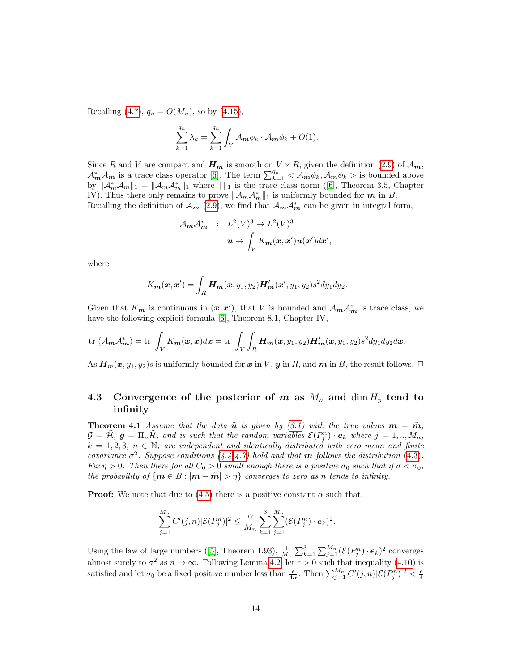Recalling [\(4.7\)](#page-9-4),  $q_n = O(M_n)$ , so by [\(4.15\)](#page-12-0),

$$
\sum_{k=1}^{q_n} \lambda_k = \sum_{k=1}^{q_n} \int_V \mathcal{A}_m \phi_k \cdot \mathcal{A}_m \phi_k + O(1).
$$

Since  $\overline{R}$  and  $\overline{V}$  are compact and  $H_m$  is smooth on  $\overline{V} \times \overline{R}$ , given the definition [\(2.9\)](#page-4-1) of  $\mathcal{A}_m$ ,  $\mathcal{A}_{m}^{*}\mathcal{A}_{m}$  is a trace class operator [\[6\]](#page-23-4). The term  $\sum_{k=1}^{q_{n}} \langle \mathcal{A}_{m}\phi_{k}, \mathcal{A}_{m}\phi_{k}\rangle$  is bounded above by $\|\mathcal{A}_m^*\mathcal{A}_m\|_1 = \|\mathcal{A}_m\mathcal{A}_m^*\|_1$  where  $\|\|_1$  is the trace class norm ([\[6\]](#page-23-4), Theorem 3.5, Chapter IV). Thus there only remains to prove  $\|\mathcal{A}_m\mathcal{A}_m^*\|_1$  is uniformly bounded for  $m$  in B. Recalling the definition of  $\mathcal{A}_{m}$  [\(2.9\)](#page-4-1), we find that  $\mathcal{A}_{m}\mathcal{A}_{m}^{*}$  can be given in integral form,

$$
\begin{array}{rcl} \mathcal{A}_{\pmb m}\mathcal{A}_{\pmb m}^* & : & L^2(V)^3\to L^2(V)^3\\ & & \bm u\to \int_V K_{\pmb m}(\pmb x,\pmb x')\pmb u(\pmb x')d\pmb x', \end{array}
$$

where

$$
K_{\mathbf{m}}(\mathbf{x}, \mathbf{x}') = \int_R \mathbf{H}_{\mathbf{m}}(\mathbf{x}, y_1, y_2) \mathbf{H}'_{\mathbf{m}}(\mathbf{x}', y_1, y_2) s^2 dy_1 dy_2.
$$

Given that  $K_{m}$  is continuous in  $(x, x')$ , that V is bounded and  $\mathcal{A}_{m} \mathcal{A}_{m}^{*}$  is trace class, we have the following explicit formula [\[6\]](#page-23-4), Theorem 8.1, Chapter IV,

$$
\text{tr}\,\left(\mathcal{A}_{m}\mathcal{A}_{m}^{*}\right) = \text{tr}\,\int_{V} K_{m}(x,x)dx = \text{tr}\,\int_{V}\int_{R} \boldsymbol{H}_{m}(x,y_{1},y_{2})\boldsymbol{H}_{m}'(x,y_{1},y_{2})s^{2}dy_{1}dy_{2}dx.
$$

As  $H_m(x, y_1, y_2)$ s is uniformly bounded for x in V, y in R, and m in B, the result follows.  $\Box$ 

#### 4.3 Convergence of the posterior of m as  $M_n$  and  $\dim H_p$  tend to infinity

<span id="page-13-0"></span>**Theorem 4.1** Assume that the data  $\tilde{u}$  is given by [\(3.1\)](#page-5-1) with the true values  $m = \tilde{m}$ ,  $\mathcal{G} = \tilde{\mathcal{H}}, \ \boldsymbol{g} = \Pi_n \tilde{\mathcal{H}}, \ \text{and is such that the random variables } \mathcal{E}(P_j^n) \cdot \boldsymbol{e}_k \ \text{where } j = 1,..,M_n,$  $k = 1, 2, 3, n \in \mathbb{N}$ , are independent and identically distributed with zero mean and finite covariance  $\sigma^2$ . Suppose conditions [\(4.4-](#page-9-3)[4.7\)](#page-9-4) hold and that **m** follows the distribution [\(4.3\)](#page-8-3). Fix  $\eta > 0$ . Then there for all  $C_0 > 0$  small enough there is a positive  $\sigma_0$  such that if  $\sigma < \sigma_0$ , the probability of  $\{m \in B : |m - \tilde{m}| > n\}$  converges to zero as n tends to infinity.

**Proof:** We note that due to [\(4.5\)](#page-9-2) there is a positive constant  $\alpha$  such that,

$$
\sum_{j=1}^{M_n} C'(j,n) |\mathcal{E}(P_j^n)|^2 \leq \frac{\alpha}{M_n} \sum_{k=1}^3 \sum_{j=1}^{M_n} (\mathcal{E}(P_j^n) \cdot e_k)^2.
$$

Usingthe law of large numbers ([\[5\]](#page-23-13), Theorem 1.93),  $\frac{1}{M_n} \sum_{k=1}^3 \sum_{j=1}^{M_n} (\mathcal{E}(P_j^n) \cdot \mathbf{e}_k)^2$  converges almost surely to  $\sigma^2$  as  $n \to \infty$ . Following Lemma [4.2,](#page-10-2) let  $\epsilon > 0$  such that inequality [\(4.10\)](#page-10-0) is satisfied and let  $\sigma_0$  be a fixed positive number less than  $\frac{\epsilon}{4\alpha}$ . Then  $\sum_{j=1}^{M_n} C'(j, n) |C(P_j^n)|^2 < \frac{\epsilon}{4}$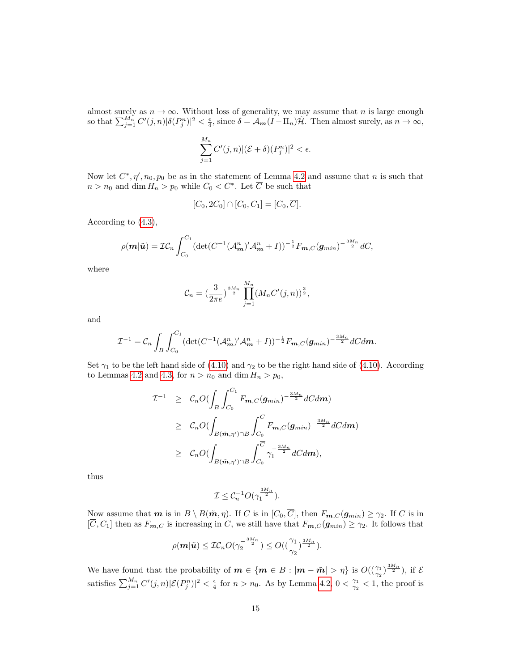almost surely as  $n \to \infty$ . Without loss of generality, we may assume that n is large enough so that  $\sum_{j=1}^{M_n} C'(j,n) |\delta(P_j^n)|^2 < \frac{\epsilon}{4}$ , since  $\delta = \mathcal{A}_{m}(I - \Pi_n) \tilde{\mathcal{H}}$ . Then almost surely, as  $n \to \infty$ ,

$$
\sum_{j=1}^{M_n} C'(j,n) |(\mathcal{E} + \delta)(P_j^n)|^2 < \epsilon.
$$

Now let  $C^*, \eta', n_0, p_0$  be as in the statement of Lemma [4.2](#page-10-2) and assume that n is such that  $n > n_0$  and dim  $H_n > p_0$  while  $C_0 < C^*$ . Let  $\overline{C}$  be such that

$$
[C_0, 2C_0] \cap [C_0, C_1] = [C_0, \overline{C}].
$$

According to [\(4.3\)](#page-8-3),

$$
\rho(\boldsymbol{m}|\tilde{\boldsymbol{u}})=\mathcal{I}\mathcal{C}_n\int_{C_0}^{C_1}(\det(C^{-1}(\mathcal{A}_{\boldsymbol{m}}^n)'\mathcal{A}_{\boldsymbol{m}}^n+I))^{-\frac{1}{2}}F_{\boldsymbol{m},C}(\boldsymbol{g}_{min})^{-\frac{3M_n}{2}}dC,
$$

where

$$
C_n = \left(\frac{3}{2\pi e}\right)^{\frac{3M_n}{2}} \prod_{j=1}^{M_n} (M_n C'(j, n))^{\frac{3}{2}},
$$

and

$$
\mathcal{I}^{-1} = \mathcal{C}_n \int_B \int_{C_0}^{C_1} (\det(C^{-1}(\mathcal{A}_{m}^{n})' \mathcal{A}_{m}^{n} + I))^{-\frac{1}{2}} F_{m,C}(g_{min})^{-\frac{3M_n}{2}} dC d\mathbf{m}.
$$

Set  $\gamma_1$  to be the left hand side of [\(4.10\)](#page-10-0) and  $\gamma_2$  to be the right hand side of (4.10). According to Lemmas [4.2](#page-10-2) and [4.3,](#page-12-1) for  $n > n_0$  and  $\dim H_n > p_0$ ,

$$
\mathcal{I}^{-1} \geq C_n O(\int_B \int_{C_0}^{C_1} F_{\mathbf{m},C}(\mathbf{g}_{min})^{-\frac{3M_n}{2}} dC d\mathbf{m})
$$
  
\n
$$
\geq C_n O(\int_{B(\tilde{\mathbf{m}},\eta')\cap B} \int_{C_0}^{\overline{C}} F_{\mathbf{m},C}(\mathbf{g}_{min})^{-\frac{3M_n}{2}} dC d\mathbf{m})
$$
  
\n
$$
\geq C_n O(\int_{B(\tilde{\mathbf{m}},\eta')\cap B} \int_{C_0}^{\overline{C}} \gamma_1^{-\frac{3M_n}{2}} dC d\mathbf{m}),
$$

thus

$$
\mathcal{I} \leq \mathcal{C}_n^{-1} O(\gamma_1^{\frac{3M_n}{2}}).
$$

Now assume that **m** is in  $B \setminus B(\tilde{m}, \eta)$ . If C is in  $[C_0, \overline{C}]$ , then  $F_{m,C}(g_{min}) \geq \gamma_2$ . If C is in  $[\overline{C}, C_1]$  then as  $F_{m,C}$  is increasing in C, we still have that  $F_{m,C}(g_{min}) \geq \gamma_2$ . It follows that

$$
\rho(\mathbf{m}|\tilde{\mathbf{u}}) \leq \mathcal{IC}_n O(\gamma_2^{-\frac{3M_n}{2}}) \leq O((\frac{\gamma_1}{\gamma_2})^{\frac{3M_n}{2}}).
$$

We have found that the probability of  $m \in \{m \in B : |m - \tilde{m}| > \eta\}$  is  $O((\frac{\gamma_1}{\gamma_2})^{\frac{3M_n}{2}})$ , if  $\mathcal{E}$ satisfies  $\sum_{j=1}^{M_n} C'(j,n)|\mathcal{E}(P_j^n)|^2 < \frac{\epsilon}{4}$  for  $n > n_0$ . As by Lemma [4.2,](#page-10-2)  $0 < \frac{\gamma_1}{\gamma_2} < 1$ , the proof is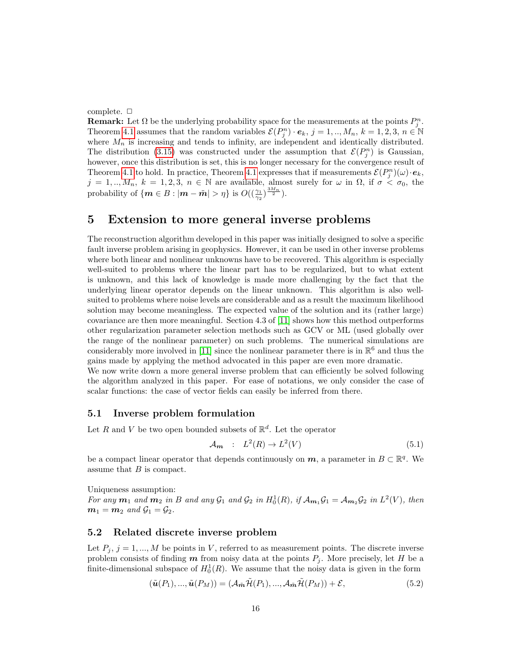complete.  $\Box$ 

**Remark:** Let  $\Omega$  be the underlying probability space for the measurements at the points  $P_j^n$ . Theorem [4.1](#page-13-0) assumes that the random variables  $\mathcal{E}(P_j^n) \cdot e_k$ ,  $j = 1, ..., M_n$ ,  $k = 1, 2, 3, n \in \mathbb{N}$ where  $M_n$  is increasing and tends to infinity, are independent and identically distributed. The distribution [\(3.15\)](#page-8-4) was constructed under the assumption that  $\mathcal{E}(P_j^n)$  is Gaussian, however, once this distribution is set, this is no longer necessary for the convergence result of Theorem [4.1](#page-13-0) to hold. In practice, Theorem 4.1 expresses that if measurements  $\mathcal{E}(P_j^n)(\omega) \cdot \mathbf{e}_k$ ,  $j = 1, ..., M_n$ ,  $k = 1, 2, 3, n \in \mathbb{N}$  are available, almost surely for  $\omega$  in  $\Omega$ , if  $\sigma < \sigma_0$ , the probability of  $\{m \in B : |m - \tilde{m}| > \eta\}$  is  $O((\frac{\gamma_1}{\gamma_2})^{\frac{3M_n}{2}})$ .

### <span id="page-15-0"></span>5 Extension to more general inverse problems

The reconstruction algorithm developed in this paper was initially designed to solve a specific fault inverse problem arising in geophysics. However, it can be used in other inverse problems where both linear and nonlinear unknowns have to be recovered. This algorithm is especially well-suited to problems where the linear part has to be regularized, but to what extent is unknown, and this lack of knowledge is made more challenging by the fact that the underlying linear operator depends on the linear unknown. This algorithm is also wellsuited to problems where noise levels are considerable and as a result the maximum likelihood solution may become meaningless. The expected value of the solution and its (rather large) covariance are then more meaningful. Section 4.3 of [\[11\]](#page-23-0) shows how this method outperforms other regularization parameter selection methods such as GCV or ML (used globally over the range of the nonlinear parameter) on such problems. The numerical simulations are considerably more involved in [\[11\]](#page-23-0) since the nonlinear parameter there is in  $\mathbb{R}^6$  and thus the gains made by applying the method advocated in this paper are even more dramatic.

We now write down a more general inverse problem that can efficiently be solved following the algorithm analyzed in this paper. For ease of notations, we only consider the case of scalar functions: the case of vector fields can easily be inferred from there.

#### 5.1 Inverse problem formulation

Let R and V be two open bounded subsets of  $\mathbb{R}^d$ . Let the operator

<span id="page-15-1"></span>
$$
\mathcal{A}_{m} : L^{2}(R) \to L^{2}(V) \tag{5.1}
$$

be a compact linear operator that depends continuously on  $m$ , a parameter in  $B \subset \mathbb{R}^q$ . We assume that  $B$  is compact.

Uniqueness assumption: For any  $m_1$  and  $m_2$  in B and any  $\mathcal{G}_1$  and  $\mathcal{G}_2$  in  $H_0^1(R)$ , if  $\mathcal{A}_{m_1}\mathcal{G}_1 = \mathcal{A}_{m_2}\mathcal{G}_2$  in  $L^2(V)$ , then  $m_1 = m_2$  and  $\mathcal{G}_1 = \mathcal{G}_2$ .

#### 5.2 Related discrete inverse problem

Let  $P_i$ ,  $j = 1, ..., M$  be points in V, referred to as measurement points. The discrete inverse problem consists of finding  $m$  from noisy data at the points  $P_i$ . More precisely, let H be a finite-dimensional subspace of  $H_0^1(R)$ . We assume that the noisy data is given in the form

<span id="page-15-2"></span>
$$
(\tilde{u}(P_1), ..., \tilde{u}(P_M)) = (\mathcal{A}_{\tilde{m}}\tilde{\mathcal{H}}(P_1), ..., \mathcal{A}_{\tilde{m}}\tilde{\mathcal{H}}(P_M)) + \mathcal{E},
$$
\n(5.2)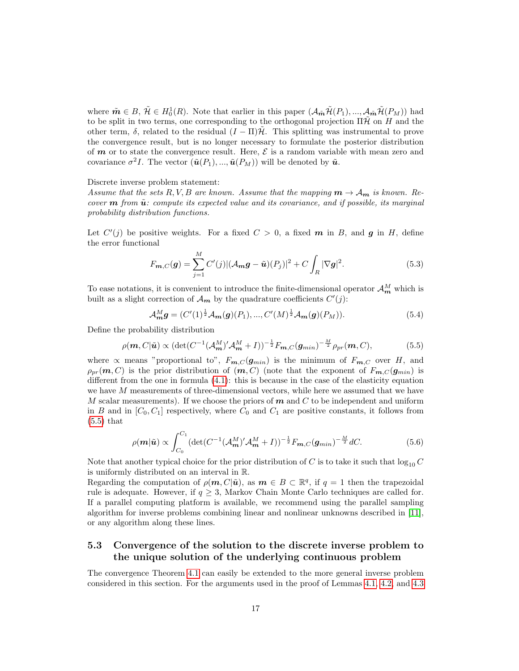where  $\tilde{\boldsymbol{m}} \in B$ ,  $\tilde{\mathcal{H}} \in H_0^1(R)$ . Note that earlier in this paper  $(\mathcal{A}_{\tilde{\boldsymbol{m}}} \tilde{\mathcal{H}}(P_1), ..., \mathcal{A}_{\tilde{\boldsymbol{m}}} \tilde{\mathcal{H}}(P_M))$  had to be split in two terms, one corresponding to the orthogonal projection  $\Pi\tilde{\mathcal{H}}$  on H and the other term,  $\delta$ , related to the residual  $(I - \Pi)\mathcal{H}$ . This splitting was instrumental to prove the convergence result, but is no longer necessary to formulate the posterior distribution of  $m$  or to state the convergence result. Here,  $\mathcal E$  is a random variable with mean zero and covariance  $\sigma^2 I$ . The vector  $(\tilde{u}(P_1), ..., \tilde{u}(P_M))$  will be denoted by  $\tilde{u}$ .

#### Discrete inverse problem statement:

Assume that the sets R, V, B are known. Assume that the mapping  $m \to \mathcal{A}_{m}$  is known. Recover  $\boldsymbol{m}$  from  $\tilde{\boldsymbol{u}}$ : compute its expected value and its covariance, and if possible, its marginal probability distribution functions.

Let  $C'(j)$  be positive weights. For a fixed  $C > 0$ , a fixed m in B, and g in H, define the error functional

$$
F_{m,C}(g) = \sum_{j=1}^{M} C'(j) |(\mathcal{A}_{m}g - \tilde{u})(P_j)|^2 + C \int_{R} |\nabla g|^2.
$$
 (5.3)

To ease notations, it is convenient to introduce the finite-dimensional operator  $\mathcal{A}_{m}^{M}$  which is built as a slight correction of  $\mathcal{A}_{m}$  by the quadrature coefficients  $C'(j)$ :

$$
\mathcal{A}_{m}^{M}g = (C'(1)^{\frac{1}{2}}\mathcal{A}_{m}(g)(P_{1}),...,C'(M)^{\frac{1}{2}}\mathcal{A}_{m}(g)(P_{M})).
$$
\n(5.4)

Define the probability distribution

<span id="page-16-0"></span>
$$
\rho(\boldsymbol{m}, C|\tilde{\boldsymbol{u}}) \propto (\det(C^{-1}(\mathcal{A}_{\boldsymbol{m}}^M)' \mathcal{A}_{\boldsymbol{m}}^M + I))^{-\frac{1}{2}} F_{\boldsymbol{m}, C}(\boldsymbol{g}_{min})^{-\frac{M}{2}} \rho_{pr}(\boldsymbol{m}, C),
$$
(5.5)

where  $\propto$  means "proportional to",  $F_{m,C}(g_{min})$  is the minimum of  $F_{m,C}$  over H, and  $\rho_{pr}(m, C)$  is the prior distribution of  $(m, C)$  (note that the exponent of  $F_{m, C}(g_{min})$  is different from the one in formula [\(4.1\)](#page-8-1): this is because in the case of the elasticity equation we have  $M$  measurements of three-dimensional vectors, while here we assumed that we have  $M$  scalar measurements). If we choose the priors of  $m$  and  $C$  to be independent and uniform in B and in  $[C_0, C_1]$  respectively, where  $C_0$  and  $C_1$  are positive constants, it follows from  $(5.5)$  that

<span id="page-16-1"></span>
$$
\rho(\mathbf{m}|\tilde{\mathbf{u}}) \propto \int_{C_0}^{C_1} (\det(C^{-1}(\mathcal{A}_{\mathbf{m}}^M)' \mathcal{A}_{\mathbf{m}}^M + I))^{-\frac{1}{2}} F_{\mathbf{m},C}(\mathbf{g}_{min})^{-\frac{M}{2}} dC.
$$
 (5.6)

Note that another typical choice for the prior distribution of C is to take it such that  $\log_{10} C$ is uniformly distributed on an interval in R.

Regarding the computation of  $\rho(m, C | \tilde{u})$ , as  $m \in B \subset \mathbb{R}^q$ , if  $q = 1$  then the trapezoidal rule is adequate. However, if  $q \geq 3$ , Markov Chain Monte Carlo techniques are called for. If a parallel computing platform is available, we recommend using the parallel sampling algorithm for inverse problems combining linear and nonlinear unknowns described in [\[11\]](#page-23-0), or any algorithm along these lines.

### 5.3 Convergence of the solution to the discrete inverse problem to the unique solution of the underlying continuous problem

The convergence Theorem [4.1](#page-13-0) can easily be extended to the more general inverse problem considered in this section. For the arguments used in the proof of Lemmas [4.1,](#page-9-1) [4.2,](#page-10-2) and [4.3](#page-12-1)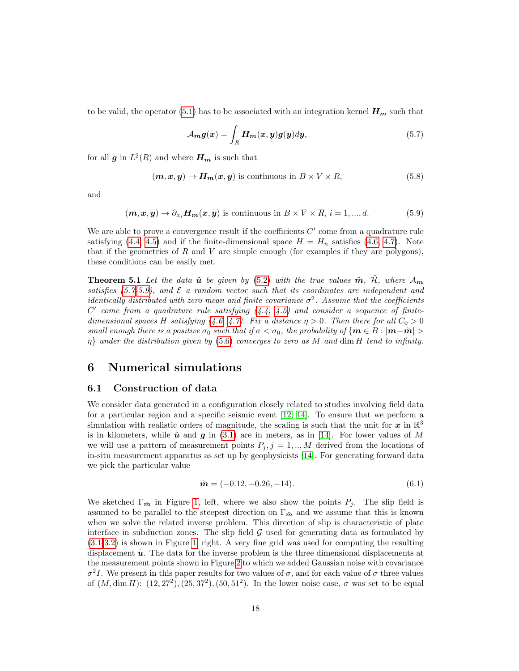to be valid, the operator [\(5.1\)](#page-15-1) has to be associated with an integration kernel  $H_m$  such that

<span id="page-17-1"></span>
$$
\mathcal{A}_{m}g(x) = \int_{R} H_{m}(x, y)g(y)dy, \qquad (5.7)
$$

for all  $g$  in  $L^2(R)$  and where  $H_m$  is such that

$$
(\boldsymbol{m}, \boldsymbol{x}, \boldsymbol{y}) \to \boldsymbol{H}_{\boldsymbol{m}}(\boldsymbol{x}, \boldsymbol{y})
$$
 is continuous in  $B \times \overline{V} \times \overline{R}$ , (5.8)

and

<span id="page-17-2"></span>
$$
(\boldsymbol{m}, \boldsymbol{x}, \boldsymbol{y}) \to \partial_{x_i} \boldsymbol{H}_{\boldsymbol{m}}(\boldsymbol{x}, \boldsymbol{y}) \text{ is continuous in } B \times \overline{V} \times \overline{R}, i = 1, ..., d. \tag{5.9}
$$

We are able to prove a convergence result if the coefficients  $C'$  come from a quadrature rule satisfying [\(4.4,](#page-9-3) [4.5\)](#page-9-2) and if the finite-dimensional space  $H = H_n$  satisfies [\(4.6,](#page-9-0) [4.7\)](#page-9-4). Note that if the geometries of  $R$  and  $V$  are simple enough (for examples if they are polygons), these conditions can be easily met.

**Theorem 5.1** Let the data  $\tilde{u}$  be given by [\(5.2\)](#page-15-2) with the true values  $\tilde{m}$ ,  $\tilde{H}$ , where  $\mathcal{A}_{m}$ satisfies [\(5.7-](#page-17-1)[5.9\)](#page-17-2), and  $\mathcal E$  a random vector such that its coordinates are independent and identically distributed with zero mean and finite covariance  $\sigma^2$ . Assume that the coefficients  $C<sup>'</sup>$  come from a quadrature rule satisfying  $(4.4, 4.5)$  $(4.4, 4.5)$  and consider a sequence of finite-dimensional spaces H satisfying [\(4.6,](#page-9-0) [4.7\)](#page-9-4). Fix a distance  $\eta > 0$ . Then there for all  $C_0 > 0$ small enough there is a positive  $\sigma_0$  such that if  $\sigma < \sigma_0$ , the probability of  $\{m \in B : |m-\tilde{m}| > a\}$  $\eta$ } under the distribution given by [\(5.6\)](#page-16-1) converges to zero as M and dim H tend to infinity.

### <span id="page-17-0"></span>6 Numerical simulations

#### 6.1 Construction of data

We consider data generated in a configuration closely related to studies involving field data for a particular region and a specific seismic event [\[12,](#page-23-3) [14\]](#page-23-2). To ensure that we perform a simulation with realistic orders of magnitude, the scaling is such that the unit for  $x$  in  $\mathbb{R}^3$ is in kilometers, while  $\tilde{u}$  and  $g$  in [\(3.1\)](#page-5-1) are in meters, as in [\[14\]](#page-23-2). For lower values of M we will use a pattern of measurement points  $P_j$ ,  $j = 1, ..., M$  derived from the locations of in-situ measurement apparatus as set up by geophysicists [\[14\]](#page-23-2). For generating forward data we pick the particular value

$$
\tilde{\mathbf{m}} = (-0.12, -0.26, -14). \tag{6.1}
$$

We sketched  $\Gamma_{\tilde{m}}$  in Figure [1,](#page-18-1) left, where we also show the points  $P_j$ . The slip field is assumed to be parallel to the steepest direction on  $\Gamma_{\tilde{m}}$  and we assume that this is known when we solve the related inverse problem. This direction of slip is characteristic of plate interface in subduction zones. The slip field  $G$  used for generating data as formulated by [\(3.1-](#page-5-1)[3.2\)](#page-5-3) is shown in Figure [1,](#page-18-1) right. A very fine grid was used for computing the resulting displacement  $\tilde{u}$ . The data for the inverse problem is the three dimensional displacements at the measurement points shown in Figure [2](#page-19-0) to which we added Gaussian noise with covariance  $σ<sup>2</sup>I$ . We present in this paper results for two values of  $σ$ , and for each value of  $σ$  three values of  $(M, \dim H)$ :  $(12, 27^2), (25, 37^2), (50, 51^2)$ . In the lower noise case,  $\sigma$  was set to be equal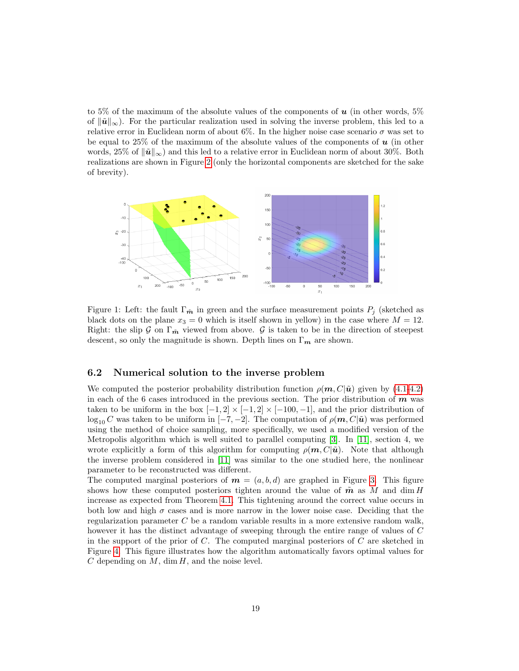to 5% of the maximum of the absolute values of the components of  $u$  (in other words, 5% of  $\|\tilde{\mathbf{u}}\|_{\infty}$ ). For the particular realization used in solving the inverse problem, this led to a relative error in Euclidean norm of about 6%. In the higher noise case scenario  $\sigma$  was set to be equal to 25% of the maximum of the absolute values of the components of  $\boldsymbol{u}$  (in other words, 25% of  $\|\tilde{\boldsymbol{u}}\|_{\infty}$  and this led to a relative error in Euclidean norm of about 30%. Both realizations are shown in Figure [2](#page-19-0) (only the horizontal components are sketched for the sake of brevity).

<span id="page-18-1"></span>

Figure 1: Left: the fault  $\Gamma_{\tilde{m}}$  in green and the surface measurement points  $P_i$  (sketched as black dots on the plane  $x_3 = 0$  which is itself shown in yellow) in the case where  $M = 12$ . Right: the slip G on  $\Gamma_{\tilde{m}}$  viewed from above. G is taken to be in the direction of steepest descent, so only the magnitude is shown. Depth lines on  $\Gamma_m$  are shown.

#### <span id="page-18-0"></span>6.2 Numerical solution to the inverse problem

We computed the posterior probability distribution function  $\rho(m, C|\tilde{u})$  given by [\(4.1](#page-8-1)[-4.2\)](#page-8-2) in each of the 6 cases introduced in the previous section. The prior distribution of  $m$  was taken to be uniform in the box  $[-1, 2] \times [-1, 2] \times [-100, -1]$ , and the prior distribution of  $\log_{10} C$  was taken to be uniform in  $[-7, -2]$ . The computation of  $\rho(m, C | \tilde{u})$  was performed using the method of choice sampling, more specifically, we used a modified version of the Metropolis algorithm which is well suited to parallel computing [\[3\]](#page-23-5). In [\[11\]](#page-23-0), section 4, we wrote explicitly a form of this algorithm for computing  $\rho(m, C|\tilde{u})$ . Note that although the inverse problem considered in [\[11\]](#page-23-0) was similar to the one studied here, the nonlinear parameter to be reconstructed was different.

The computed marginal posteriors of  $m = (a, b, d)$  are graphed in Figure [3.](#page-20-0) This figure shows how these computed posteriors tighten around the value of  $\tilde{m}$  as M and dim H increase as expected from Theorem [4.1.](#page-13-0) This tightening around the correct value occurs in both low and high  $\sigma$  cases and is more narrow in the lower noise case. Deciding that the regularization parameter C be a random variable results in a more extensive random walk, however it has the distinct advantage of sweeping through the entire range of values of C in the support of the prior of  $C$ . The computed marginal posteriors of  $C$  are sketched in Figure [4.](#page-21-1) This figure illustrates how the algorithm automatically favors optimal values for  $C$  depending on  $M$ , dim  $H$ , and the noise level.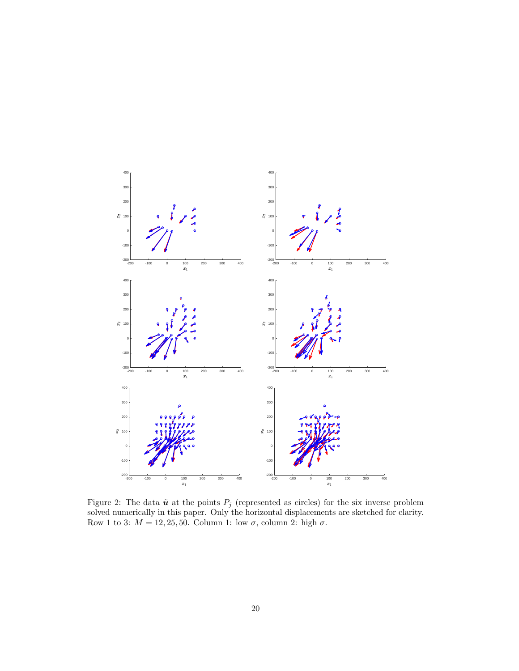

<span id="page-19-0"></span>Figure 2: The data  $\tilde{u}$  at the points  $P_j$  (represented as circles) for the six inverse problem solved numerically in this paper. Only the horizontal displacements are sketched for clarity. Row 1 to 3:  $M = 12, 25, 50$ . Column 1: low  $\sigma$ , column 2: high  $\sigma$ .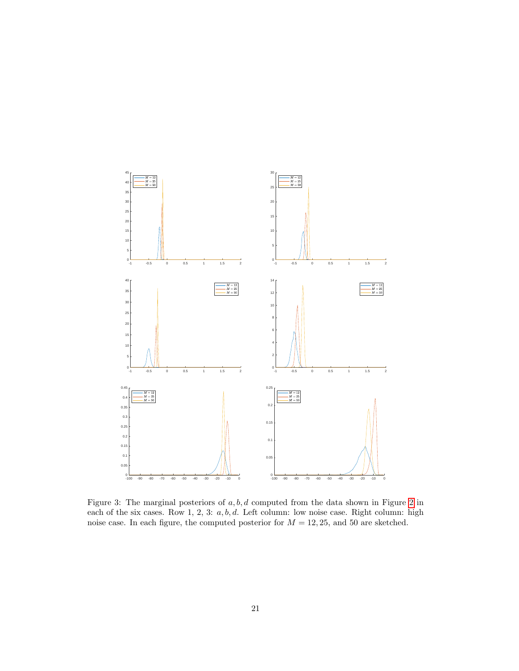

<span id="page-20-0"></span>Figure 3: The marginal posteriors of a, b, d computed from the data shown in Figure [2](#page-19-0) in each of the six cases. Row 1, 2, 3:  $a, b, d$ . Left column: low noise case. Right column: high noise case. In each figure, the computed posterior for  $M = 12, 25$ , and 50 are sketched.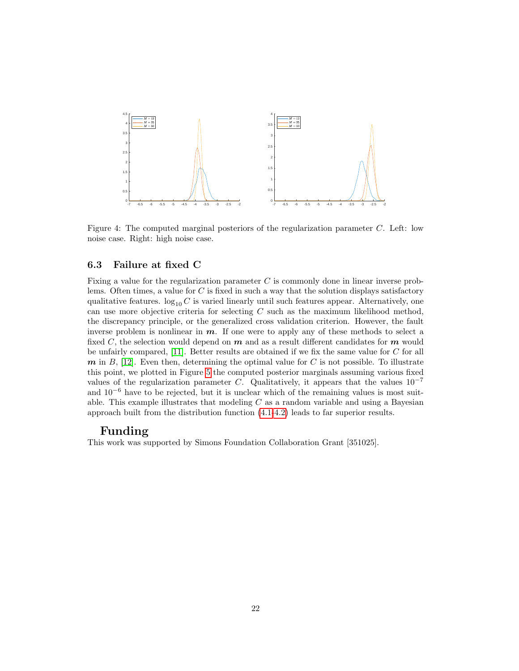<span id="page-21-1"></span>

Figure 4: The computed marginal posteriors of the regularization parameter C. Left: low noise case. Right: high noise case.

### <span id="page-21-0"></span>6.3 Failure at fixed C

Fixing a value for the regularization parameter C is commonly done in linear inverse problems. Often times, a value for  $C$  is fixed in such a way that the solution displays satisfactory qualitative features.  $log_{10} C$  is varied linearly until such features appear. Alternatively, one can use more objective criteria for selecting  $C$  such as the maximum likelihood method, the discrepancy principle, or the generalized cross validation criterion. However, the fault inverse problem is nonlinear in  $m$ . If one were to apply any of these methods to select a fixed C, the selection would depend on  $m$  and as a result different candidates for  $m$  would be unfairly compared, [\[11\]](#page-23-0). Better results are obtained if we fix the same value for C for all  $m$  in  $B$ , [\[12\]](#page-23-3). Even then, determining the optimal value for C is not possible. To illustrate this point, we plotted in Figure [5](#page-22-0) the computed posterior marginals assuming various fixed values of the regularization parameter C. Qualitatively, it appears that the values  $10^{-7}$ and  $10^{-6}$  have to be rejected, but it is unclear which of the remaining values is most suitable. This example illustrates that modeling  $C$  as a random variable and using a Bayesian approach built from the distribution function [\(4.1-](#page-8-1)[4.2\)](#page-8-2) leads to far superior results.

### Funding

This work was supported by Simons Foundation Collaboration Grant [351025].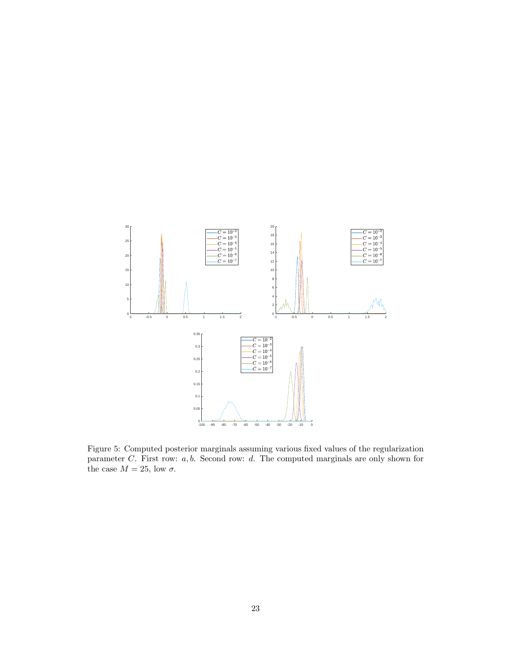

<span id="page-22-0"></span>Figure 5: Computed posterior marginals assuming various fixed values of the regularization parameter  $C$ . First row:  $a, b$ . Second row:  $d$ . The computed marginals are only shown for the case  $M = 25$ , low  $\sigma$ .